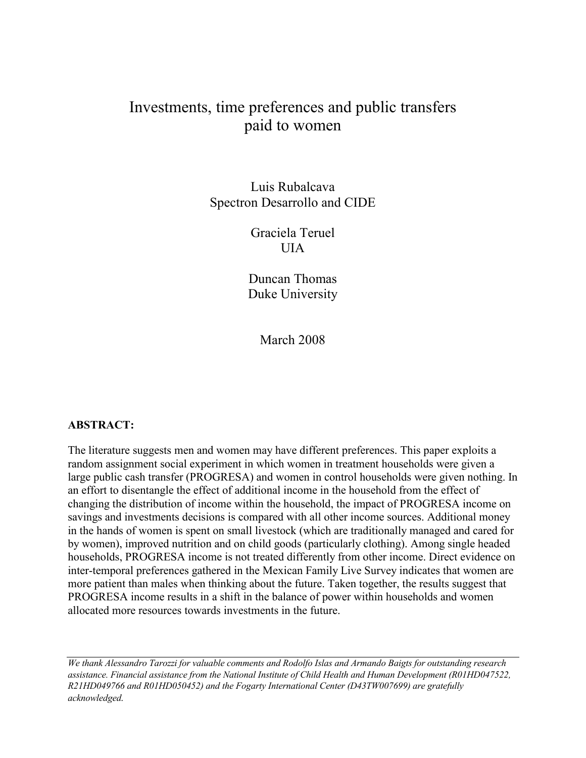# Investments, time preferences and public transfers paid to women

Luis Rubalcava Spectron Desarrollo and CIDE

> Graciela Teruel UIA

Duncan Thomas Duke University

March 2008

## ABSTRACT:

The literature suggests men and women may have different preferences. This paper exploits a random assignment social experiment in which women in treatment households were given a large public cash transfer (PROGRESA) and women in control households were given nothing. In an effort to disentangle the effect of additional income in the household from the effect of changing the distribution of income within the household, the impact of PROGRESA income on savings and investments decisions is compared with all other income sources. Additional money in the hands of women is spent on small livestock (which are traditionally managed and cared for by women), improved nutrition and on child goods (particularly clothing). Among single headed households, PROGRESA income is not treated differently from other income. Direct evidence on inter-temporal preferences gathered in the Mexican Family Live Survey indicates that women are more patient than males when thinking about the future. Taken together, the results suggest that PROGRESA income results in a shift in the balance of power within households and women allocated more resources towards investments in the future.

We thank Alessandro Tarozzi for valuable comments and Rodolfo Islas and Armando Baigts for outstanding research assistance. Financial assistance from the National Institute of Child Health and Human Development (R01HD047522, R21HD049766 and R01HD050452) and the Fogarty International Center (D43TW007699) are gratefully acknowledged.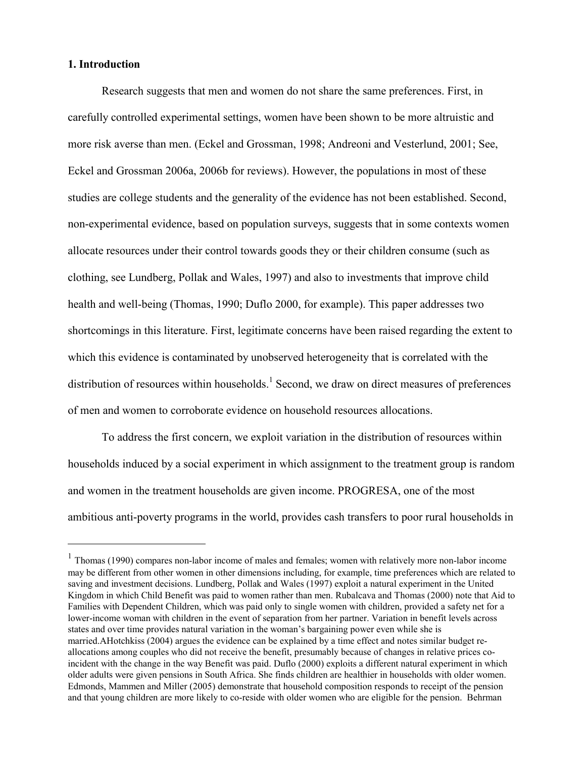## 1. Introduction

 $\overline{a}$ 

Research suggests that men and women do not share the same preferences. First, in carefully controlled experimental settings, women have been shown to be more altruistic and more risk averse than men. (Eckel and Grossman, 1998; Andreoni and Vesterlund, 2001; See, Eckel and Grossman 2006a, 2006b for reviews). However, the populations in most of these studies are college students and the generality of the evidence has not been established. Second, non-experimental evidence, based on population surveys, suggests that in some contexts women allocate resources under their control towards goods they or their children consume (such as clothing, see Lundberg, Pollak and Wales, 1997) and also to investments that improve child health and well-being (Thomas, 1990; Duflo 2000, for example). This paper addresses two shortcomings in this literature. First, legitimate concerns have been raised regarding the extent to which this evidence is contaminated by unobserved heterogeneity that is correlated with the distribution of resources within households.<sup>1</sup> Second, we draw on direct measures of preferences of men and women to corroborate evidence on household resources allocations.

To address the first concern, we exploit variation in the distribution of resources within households induced by a social experiment in which assignment to the treatment group is random and women in the treatment households are given income. PROGRESA, one of the most ambitious anti-poverty programs in the world, provides cash transfers to poor rural households in

<sup>&</sup>lt;sup>1</sup> Thomas (1990) compares non-labor income of males and females; women with relatively more non-labor income may be different from other women in other dimensions including, for example, time preferences which are related to saving and investment decisions. Lundberg, Pollak and Wales (1997) exploit a natural experiment in the United Kingdom in which Child Benefit was paid to women rather than men. Rubalcava and Thomas (2000) note that Aid to Families with Dependent Children, which was paid only to single women with children, provided a safety net for a lower-income woman with children in the event of separation from her partner. Variation in benefit levels across states and over time provides natural variation in the woman's bargaining power even while she is married.AHotchkiss (2004) argues the evidence can be explained by a time effect and notes similar budget reallocations among couples who did not receive the benefit, presumably because of changes in relative prices coincident with the change in the way Benefit was paid. Duflo (2000) exploits a different natural experiment in which older adults were given pensions in South Africa. She finds children are healthier in households with older women. Edmonds, Mammen and Miller (2005) demonstrate that household composition responds to receipt of the pension and that young children are more likely to co-reside with older women who are eligible for the pension. Behrman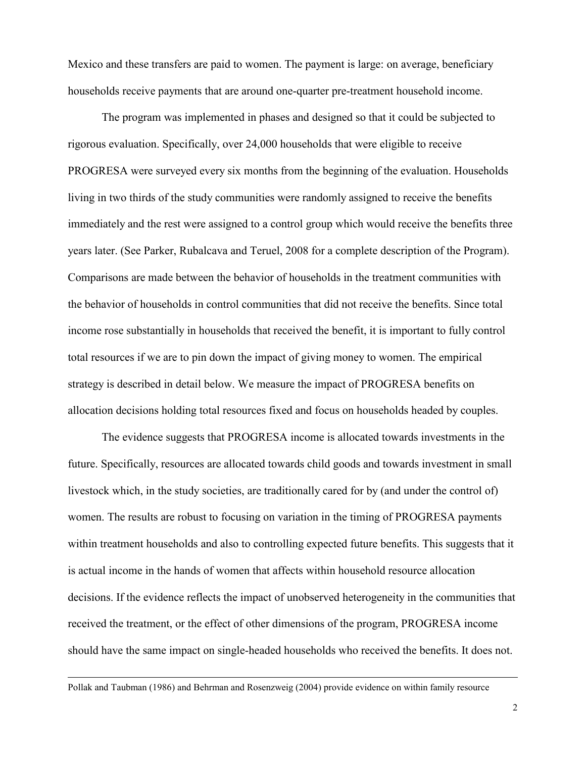Mexico and these transfers are paid to women. The payment is large: on average, beneficiary households receive payments that are around one-quarter pre-treatment household income.

The program was implemented in phases and designed so that it could be subjected to rigorous evaluation. Specifically, over 24,000 households that were eligible to receive PROGRESA were surveyed every six months from the beginning of the evaluation. Households living in two thirds of the study communities were randomly assigned to receive the benefits immediately and the rest were assigned to a control group which would receive the benefits three years later. (See Parker, Rubalcava and Teruel, 2008 for a complete description of the Program). Comparisons are made between the behavior of households in the treatment communities with the behavior of households in control communities that did not receive the benefits. Since total income rose substantially in households that received the benefit, it is important to fully control total resources if we are to pin down the impact of giving money to women. The empirical strategy is described in detail below. We measure the impact of PROGRESA benefits on allocation decisions holding total resources fixed and focus on households headed by couples.

The evidence suggests that PROGRESA income is allocated towards investments in the future. Specifically, resources are allocated towards child goods and towards investment in small livestock which, in the study societies, are traditionally cared for by (and under the control of) women. The results are robust to focusing on variation in the timing of PROGRESA payments within treatment households and also to controlling expected future benefits. This suggests that it is actual income in the hands of women that affects within household resource allocation decisions. If the evidence reflects the impact of unobserved heterogeneity in the communities that received the treatment, or the effect of other dimensions of the program, PROGRESA income should have the same impact on single-headed households who received the benefits. It does not.

Pollak and Taubman (1986) and Behrman and Rosenzweig (2004) provide evidence on within family resource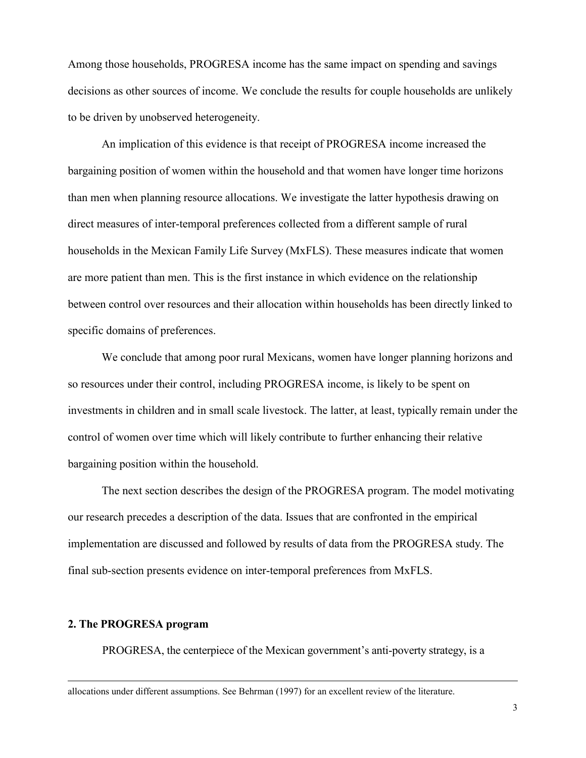Among those households, PROGRESA income has the same impact on spending and savings decisions as other sources of income. We conclude the results for couple households are unlikely to be driven by unobserved heterogeneity.

An implication of this evidence is that receipt of PROGRESA income increased the bargaining position of women within the household and that women have longer time horizons than men when planning resource allocations. We investigate the latter hypothesis drawing on direct measures of inter-temporal preferences collected from a different sample of rural households in the Mexican Family Life Survey (MxFLS). These measures indicate that women are more patient than men. This is the first instance in which evidence on the relationship between control over resources and their allocation within households has been directly linked to specific domains of preferences.

We conclude that among poor rural Mexicans, women have longer planning horizons and so resources under their control, including PROGRESA income, is likely to be spent on investments in children and in small scale livestock. The latter, at least, typically remain under the control of women over time which will likely contribute to further enhancing their relative bargaining position within the household.

The next section describes the design of the PROGRESA program. The model motivating our research precedes a description of the data. Issues that are confronted in the empirical implementation are discussed and followed by results of data from the PROGRESA study. The final sub-section presents evidence on inter-temporal preferences from MxFLS.

### 2. The PROGRESA program

 $\overline{a}$ 

PROGRESA, the centerpiece of the Mexican government's anti-poverty strategy, is a

allocations under different assumptions. See Behrman (1997) for an excellent review of the literature.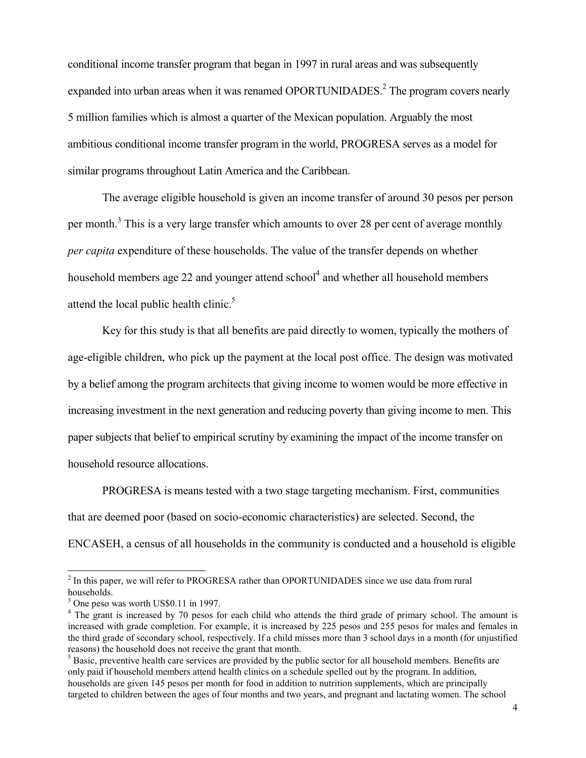conditional income transfer program that began in 1997 in rural areas and was subsequently expanded into urban areas when it was renamed OPORTUNIDADES.<sup>2</sup> The program covers nearly 5 million families which is almost a quarter of the Mexican population. Arguably the most ambitious conditional income transfer program in the world, PROGRESA serves as a model for similar programs throughout Latin America and the Caribbean.

 The average eligible household is given an income transfer of around 30 pesos per person per month.<sup>3</sup> This is a very large transfer which amounts to over 28 per cent of average monthly per capita expenditure of these households. The value of the transfer depends on whether household members age 22 and younger attend school<sup>4</sup> and whether all household members attend the local public health clinic. $<sup>5</sup>$ </sup>

Key for this study is that all benefits are paid directly to women, typically the mothers of age-eligible children, who pick up the payment at the local post office. The design was motivated by a belief among the program architects that giving income to women would be more effective in increasing investment in the next generation and reducing poverty than giving income to men. This paper subjects that belief to empirical scrutiny by examining the impact of the income transfer on household resource allocations.

 PROGRESA is means tested with a two stage targeting mechanism. First, communities that are deemed poor (based on socio-economic characteristics) are selected. Second, the ENCASEH, a census of all households in the community is conducted and a household is eligible

<sup>&</sup>lt;sup>2</sup> In this paper, we will refer to PROGRESA rather than OPORTUNIDADES since we use data from rural households.

<sup>&</sup>lt;sup>3</sup> One peso was worth US\$0.11 in 1997.

<sup>&</sup>lt;sup>4</sup> The grant is increased by 70 pesos for each child who attends the third grade of primary school. The amount is increased with grade completion. For example, it is increased by 225 pesos and 255 pesos for males and females in the third grade of secondary school, respectively. If a child misses more than 3 school days in a month (for unjustified reasons) the household does not receive the grant that month.

 $<sup>5</sup>$  Basic, preventive health care services are provided by the public sector for all household members. Benefits are</sup> only paid if household members attend health clinics on a schedule spelled out by the program. In addition, households are given 145 pesos per month for food in addition to nutrition supplements, which are principally targeted to children between the ages of four months and two years, and pregnant and lactating women. The school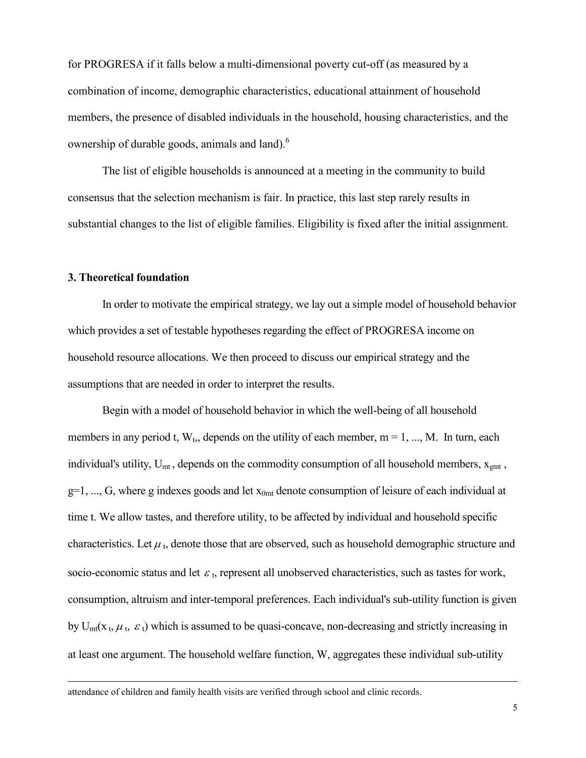for PROGRESA if it falls below a multi-dimensional poverty cut-off (as measured by a combination of income, demographic characteristics, educational attainment of household members, the presence of disabled individuals in the household, housing characteristics, and the ownership of durable goods, animals and land).<sup>6</sup>

 The list of eligible households is announced at a meeting in the community to build consensus that the selection mechanism is fair. In practice, this last step rarely results in substantial changes to the list of eligible families. Eligibility is fixed after the initial assignment.

#### 3. Theoretical foundation

 $\overline{a}$ 

 In order to motivate the empirical strategy, we lay out a simple model of household behavior which provides a set of testable hypotheses regarding the effect of PROGRESA income on household resource allocations. We then proceed to discuss our empirical strategy and the assumptions that are needed in order to interpret the results.

 Begin with a model of household behavior in which the well-being of all household members in any period t,  $W_t$ , depends on the utility of each member,  $m = 1, ..., M$ . In turn, each individual's utility,  $U_{mt}$ , depends on the commodity consumption of all household members,  $x_{gmt}$ ,  $g=1, ..., G$ , where g indexes goods and let  $x<sub>0mt</sub>$  denote consumption of leisure of each individual at time t. We allow tastes, and therefore utility, to be affected by individual and household specific characteristics. Let  $\mu$ <sub>t</sub>, denote those that are observed, such as household demographic structure and socio-economic status and let  $\varepsilon$ <sub>t</sub>, represent all unobserved characteristics, such as tastes for work, consumption, altruism and inter-temporal preferences. Each individual's sub-utility function is given by  $U_{mt}(x_t, \mu_t, \varepsilon_t)$  which is assumed to be quasi-concave, non-decreasing and strictly increasing in at least one argument. The household welfare function, W, aggregates these individual sub-utility

attendance of children and family health visits are verified through school and clinic records.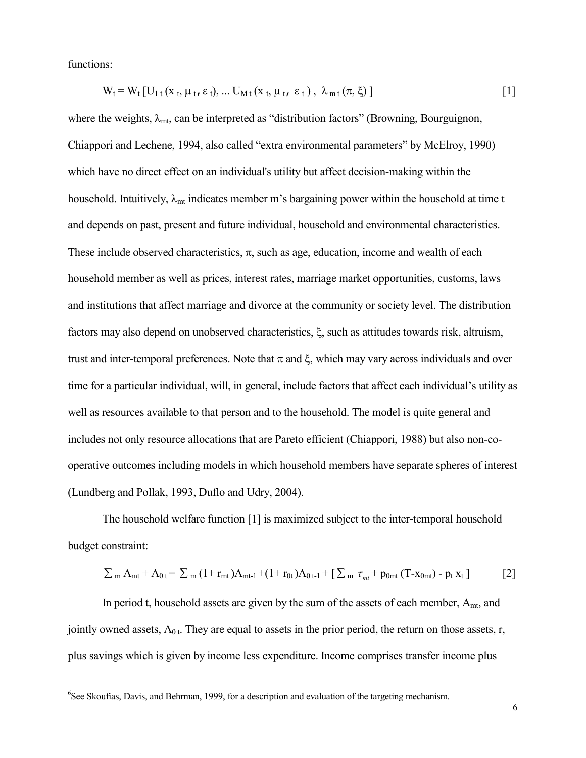functions:

$$
W_t = W_t [U_{1t} (x_t, \mu_t, \varepsilon_t), \dots U_{Mt} (x_t, \mu_t, \varepsilon_t), \lambda_{m t} (\pi, \xi) ]
$$
 [1]

where the weights,  $\lambda_{mt}$ , can be interpreted as "distribution factors" (Browning, Bourguignon, Chiappori and Lechene, 1994, also called "extra environmental parameters" by McElroy, 1990) which have no direct effect on an individual's utility but affect decision-making within the household. Intuitively,  $\lambda_{mt}$  indicates member m's bargaining power within the household at time t and depends on past, present and future individual, household and environmental characteristics. These include observed characteristics,  $\pi$ , such as age, education, income and wealth of each household member as well as prices, interest rates, marriage market opportunities, customs, laws and institutions that affect marriage and divorce at the community or society level. The distribution factors may also depend on unobserved characteristics, ξ, such as attitudes towards risk, altruism, trust and inter-temporal preferences. Note that π and ξ, which may vary across individuals and over time for a particular individual, will, in general, include factors that affect each individual's utility as well as resources available to that person and to the household. The model is quite general and includes not only resource allocations that are Pareto efficient (Chiappori, 1988) but also non-cooperative outcomes including models in which household members have separate spheres of interest (Lundberg and Pollak, 1993, Duflo and Udry, 2004).

 The household welfare function [1] is maximized subject to the inter-temporal household budget constraint:

$$
\sum_{m} A_{mt} + A_{0t} = \sum_{m} (1 + r_{mt}) A_{mt-1} + (1 + r_{0t}) A_{0t-1} + [\sum_{m} \tau_{mt} + p_{0mt} (T - x_{0mt}) - p_t x_t] \tag{2}
$$

In period t, household assets are given by the sum of the assets of each member,  $A<sub>mt</sub>$ , and jointly owned assets,  $A_{0,t}$ . They are equal to assets in the prior period, the return on those assets, r, plus savings which is given by income less expenditure. Income comprises transfer income plus

<sup>6</sup>See Skoufias, Davis, and Behrman, 1999, for a description and evaluation of the targeting mechanism.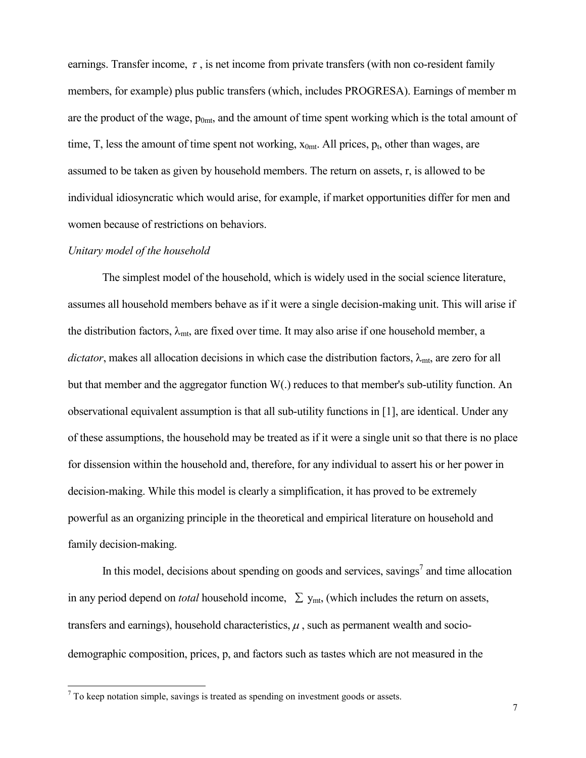earnings. Transfer income,  $\tau$ , is net income from private transfers (with non co-resident family members, for example) plus public transfers (which, includes PROGRESA). Earnings of member m are the product of the wage,  $p_{0mt}$ , and the amount of time spent working which is the total amount of time, T, less the amount of time spent not working,  $x_{0mt}$ . All prices,  $p_t$ , other than wages, are assumed to be taken as given by household members. The return on assets, r, is allowed to be individual idiosyncratic which would arise, for example, if market opportunities differ for men and women because of restrictions on behaviors.

#### Unitary model of the household

 The simplest model of the household, which is widely used in the social science literature, assumes all household members behave as if it were a single decision-making unit. This will arise if the distribution factors,  $\lambda_{mt}$ , are fixed over time. It may also arise if one household member, a dictator, makes all allocation decisions in which case the distribution factors,  $\lambda_{mt}$ , are zero for all but that member and the aggregator function W(.) reduces to that member's sub-utility function. An observational equivalent assumption is that all sub-utility functions in [1], are identical. Under any of these assumptions, the household may be treated as if it were a single unit so that there is no place for dissension within the household and, therefore, for any individual to assert his or her power in decision-making. While this model is clearly a simplification, it has proved to be extremely powerful as an organizing principle in the theoretical and empirical literature on household and family decision-making.

In this model, decisions about spending on goods and services, savings<sup>7</sup> and time allocation in any period depend on *total* household income,  $\sum y_{mt}$ , (which includes the return on assets, transfers and earnings), household characteristics,  $\mu$ , such as permanent wealth and sociodemographic composition, prices, p, and factors such as tastes which are not measured in the

<sup>&</sup>lt;sup>7</sup> To keep notation simple, savings is treated as spending on investment goods or assets.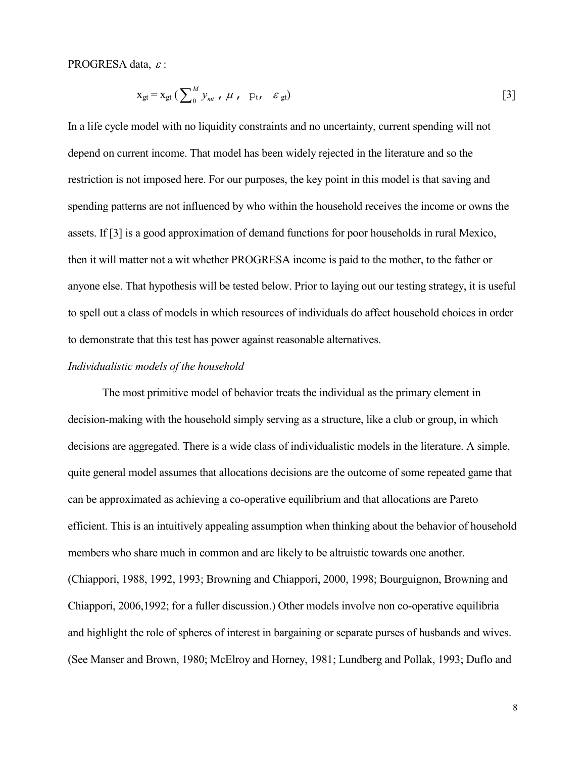PROGRESA data, <sup>ε</sup> :

$$
x_{gt} = x_{gt} \left( \sum_{0}^{M} y_{mt} , \mu , p_{t} , \varepsilon_{gt} \right)
$$
 [3]

In a life cycle model with no liquidity constraints and no uncertainty, current spending will not depend on current income. That model has been widely rejected in the literature and so the restriction is not imposed here. For our purposes, the key point in this model is that saving and spending patterns are not influenced by who within the household receives the income or owns the assets. If [3] is a good approximation of demand functions for poor households in rural Mexico, then it will matter not a wit whether PROGRESA income is paid to the mother, to the father or anyone else. That hypothesis will be tested below. Prior to laying out our testing strategy, it is useful to spell out a class of models in which resources of individuals do affect household choices in order to demonstrate that this test has power against reasonable alternatives.

### Individualistic models of the household

 The most primitive model of behavior treats the individual as the primary element in decision-making with the household simply serving as a structure, like a club or group, in which decisions are aggregated. There is a wide class of individualistic models in the literature. A simple, quite general model assumes that allocations decisions are the outcome of some repeated game that can be approximated as achieving a co-operative equilibrium and that allocations are Pareto efficient. This is an intuitively appealing assumption when thinking about the behavior of household members who share much in common and are likely to be altruistic towards one another. (Chiappori, 1988, 1992, 1993; Browning and Chiappori, 2000, 1998; Bourguignon, Browning and Chiappori, 2006,1992; for a fuller discussion.) Other models involve non co-operative equilibria and highlight the role of spheres of interest in bargaining or separate purses of husbands and wives. (See Manser and Brown, 1980; McElroy and Horney, 1981; Lundberg and Pollak, 1993; Duflo and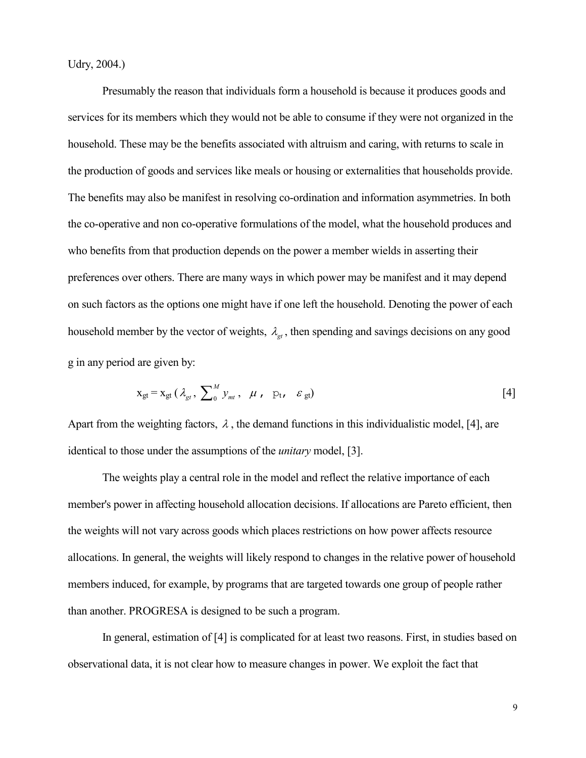Udry, 2004.)

 Presumably the reason that individuals form a household is because it produces goods and services for its members which they would not be able to consume if they were not organized in the household. These may be the benefits associated with altruism and caring, with returns to scale in the production of goods and services like meals or housing or externalities that households provide. The benefits may also be manifest in resolving co-ordination and information asymmetries. In both the co-operative and non co-operative formulations of the model, what the household produces and who benefits from that production depends on the power a member wields in asserting their preferences over others. There are many ways in which power may be manifest and it may depend on such factors as the options one might have if one left the household. Denoting the power of each household member by the vector of weights,  $\lambda_{\alpha}$ , then spending and savings decisions on any good g in any period are given by:

$$
\mathbf{x}_{\text{gt}} = \mathbf{x}_{\text{gt}} \left( \lambda_{\text{gt}} , \sum_{0}^{M} \mathbf{y}_{\text{mt}} , \mu , \mathbf{p}_{\text{t}} , \varepsilon_{\text{gt}} \right)
$$
 [4]

Apart from the weighting factors,  $\lambda$ , the demand functions in this individualistic model, [4], are identical to those under the assumptions of the unitary model, [3].

 The weights play a central role in the model and reflect the relative importance of each member's power in affecting household allocation decisions. If allocations are Pareto efficient, then the weights will not vary across goods which places restrictions on how power affects resource allocations. In general, the weights will likely respond to changes in the relative power of household members induced, for example, by programs that are targeted towards one group of people rather than another. PROGRESA is designed to be such a program.

 In general, estimation of [4] is complicated for at least two reasons. First, in studies based on observational data, it is not clear how to measure changes in power. We exploit the fact that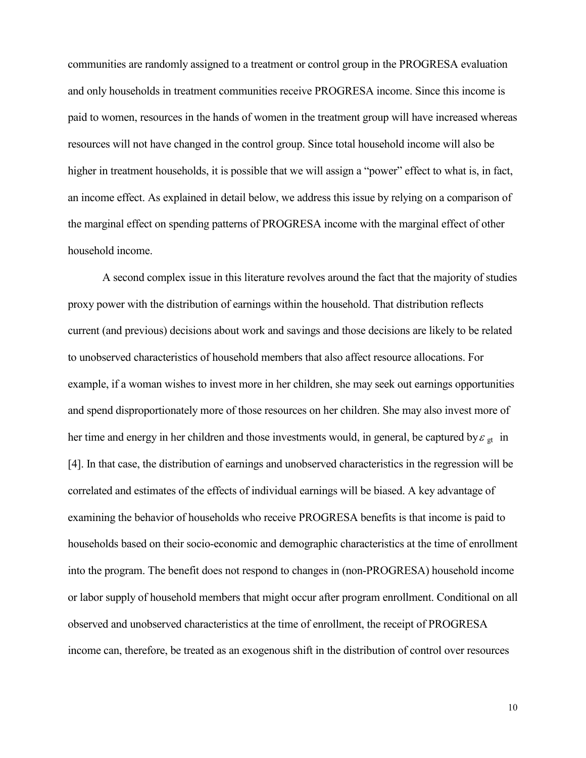communities are randomly assigned to a treatment or control group in the PROGRESA evaluation and only households in treatment communities receive PROGRESA income. Since this income is paid to women, resources in the hands of women in the treatment group will have increased whereas resources will not have changed in the control group. Since total household income will also be higher in treatment households, it is possible that we will assign a "power" effect to what is, in fact, an income effect. As explained in detail below, we address this issue by relying on a comparison of the marginal effect on spending patterns of PROGRESA income with the marginal effect of other household income.

 A second complex issue in this literature revolves around the fact that the majority of studies proxy power with the distribution of earnings within the household. That distribution reflects current (and previous) decisions about work and savings and those decisions are likely to be related to unobserved characteristics of household members that also affect resource allocations. For example, if a woman wishes to invest more in her children, she may seek out earnings opportunities and spend disproportionately more of those resources on her children. She may also invest more of her time and energy in her children and those investments would, in general, be captured by  $\varepsilon_{gt}$  in [4]. In that case, the distribution of earnings and unobserved characteristics in the regression will be correlated and estimates of the effects of individual earnings will be biased. A key advantage of examining the behavior of households who receive PROGRESA benefits is that income is paid to households based on their socio-economic and demographic characteristics at the time of enrollment into the program. The benefit does not respond to changes in (non-PROGRESA) household income or labor supply of household members that might occur after program enrollment. Conditional on all observed and unobserved characteristics at the time of enrollment, the receipt of PROGRESA income can, therefore, be treated as an exogenous shift in the distribution of control over resources

10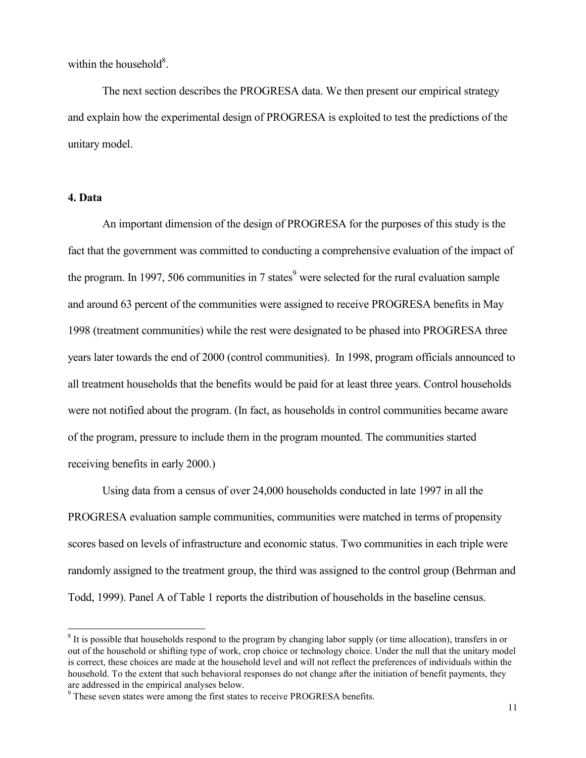within the household $8$ .

 The next section describes the PROGRESA data. We then present our empirical strategy and explain how the experimental design of PROGRESA is exploited to test the predictions of the unitary model.

## 4. Data

 $\overline{a}$ 

 An important dimension of the design of PROGRESA for the purposes of this study is the fact that the government was committed to conducting a comprehensive evaluation of the impact of the program. In 1997, 506 communities in 7 states<sup>9</sup> were selected for the rural evaluation sample and around 63 percent of the communities were assigned to receive PROGRESA benefits in May 1998 (treatment communities) while the rest were designated to be phased into PROGRESA three years later towards the end of 2000 (control communities). In 1998, program officials announced to all treatment households that the benefits would be paid for at least three years. Control households were not notified about the program. (In fact, as households in control communities became aware of the program, pressure to include them in the program mounted. The communities started receiving benefits in early 2000.)

 Using data from a census of over 24,000 households conducted in late 1997 in all the PROGRESA evaluation sample communities, communities were matched in terms of propensity scores based on levels of infrastructure and economic status. Two communities in each triple were randomly assigned to the treatment group, the third was assigned to the control group (Behrman and Todd, 1999). Panel A of Table 1 reports the distribution of households in the baseline census.

<sup>&</sup>lt;sup>8</sup> It is possible that households respond to the program by changing labor supply (or time allocation), transfers in or out of the household or shifting type of work, crop choice or technology choice. Under the null that the unitary model is correct, these choices are made at the household level and will not reflect the preferences of individuals within the household. To the extent that such behavioral responses do not change after the initiation of benefit payments, they are addressed in the empirical analyses below.

<sup>&</sup>lt;sup>9</sup> These seven states were among the first states to receive PROGRESA benefits.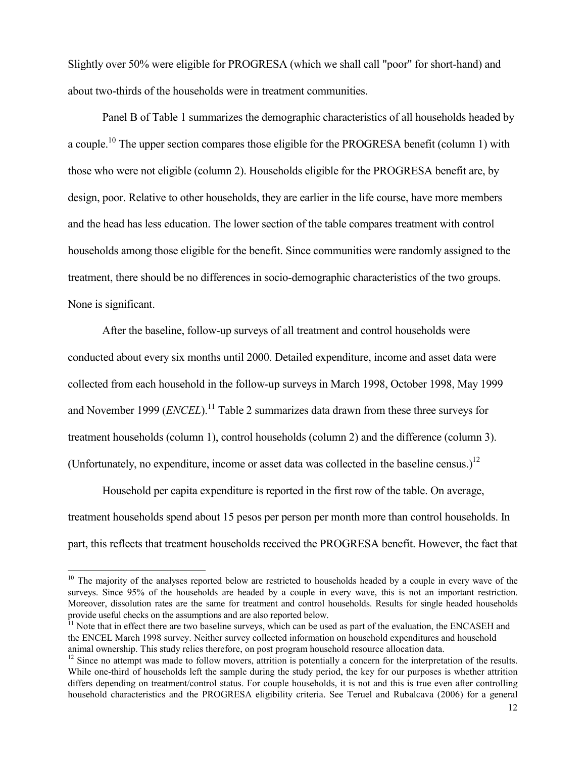Slightly over 50% were eligible for PROGRESA (which we shall call "poor" for short-hand) and about two-thirds of the households were in treatment communities.

 Panel B of Table 1 summarizes the demographic characteristics of all households headed by a couple.<sup>10</sup> The upper section compares those eligible for the PROGRESA benefit (column 1) with those who were not eligible (column 2). Households eligible for the PROGRESA benefit are, by design, poor. Relative to other households, they are earlier in the life course, have more members and the head has less education. The lower section of the table compares treatment with control households among those eligible for the benefit. Since communities were randomly assigned to the treatment, there should be no differences in socio-demographic characteristics of the two groups. None is significant.

 After the baseline, follow-up surveys of all treatment and control households were conducted about every six months until 2000. Detailed expenditure, income and asset data were collected from each household in the follow-up surveys in March 1998, October 1998, May 1999 and November 1999 ( $ENCEL$ ).<sup>11</sup> Table 2 summarizes data drawn from these three surveys for treatment households (column 1), control households (column 2) and the difference (column 3). (Unfortunately, no expenditure, income or asset data was collected in the baseline census.)<sup>12</sup>

 Household per capita expenditure is reported in the first row of the table. On average, treatment households spend about 15 pesos per person per month more than control households. In part, this reflects that treatment households received the PROGRESA benefit. However, the fact that

 $10$  The majority of the analyses reported below are restricted to households headed by a couple in every wave of the surveys. Since 95% of the households are headed by a couple in every wave, this is not an important restriction. Moreover, dissolution rates are the same for treatment and control households. Results for single headed households provide useful checks on the assumptions and are also reported below.

 $<sup>11</sup>$  Note that in effect there are two baseline surveys, which can be used as part of the evaluation, the ENCASEH and</sup> the ENCEL March 1998 survey. Neither survey collected information on household expenditures and household animal ownership. This study relies therefore, on post program household resource allocation data.

 $12$  Since no attempt was made to follow movers, attrition is potentially a concern for the interpretation of the results. While one-third of households left the sample during the study period, the key for our purposes is whether attrition differs depending on treatment/control status. For couple households, it is not and this is true even after controlling household characteristics and the PROGRESA eligibility criteria. See Teruel and Rubalcava (2006) for a general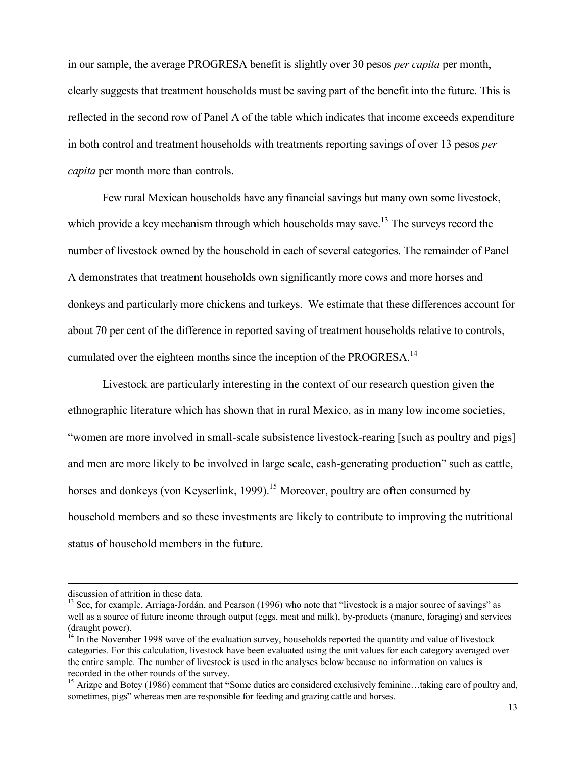in our sample, the average PROGRESA benefit is slightly over 30 pesos per capita per month, clearly suggests that treatment households must be saving part of the benefit into the future. This is reflected in the second row of Panel A of the table which indicates that income exceeds expenditure in both control and treatment households with treatments reporting savings of over 13 pesos per capita per month more than controls.

 Few rural Mexican households have any financial savings but many own some livestock, which provide a key mechanism through which households may save.<sup>13</sup> The surveys record the number of livestock owned by the household in each of several categories. The remainder of Panel A demonstrates that treatment households own significantly more cows and more horses and donkeys and particularly more chickens and turkeys. We estimate that these differences account for about 70 per cent of the difference in reported saving of treatment households relative to controls, cumulated over the eighteen months since the inception of the PROGRESA.<sup>14</sup>

 Livestock are particularly interesting in the context of our research question given the ethnographic literature which has shown that in rural Mexico, as in many low income societies, "women are more involved in small-scale subsistence livestock-rearing [such as poultry and pigs] and men are more likely to be involved in large scale, cash-generating production" such as cattle, horses and donkeys (von Keyserlink, 1999).<sup>15</sup> Moreover, poultry are often consumed by household members and so these investments are likely to contribute to improving the nutritional status of household members in the future.

discussion of attrition in these data.

<sup>&</sup>lt;sup>13</sup> See, for example, Arriaga-Jordán, and Pearson (1996) who note that "livestock is a major source of savings" as well as a source of future income through output (eggs, meat and milk), by-products (manure, foraging) and services (draught power).

 $14$  In the November 1998 wave of the evaluation survey, households reported the quantity and value of livestock categories. For this calculation, livestock have been evaluated using the unit values for each category averaged over the entire sample. The number of livestock is used in the analyses below because no information on values is recorded in the other rounds of the survey.

<sup>&</sup>lt;sup>15</sup> Arizpe and Botey (1986) comment that "Some duties are considered exclusively feminine...taking care of poultry and, sometimes, pigs" whereas men are responsible for feeding and grazing cattle and horses.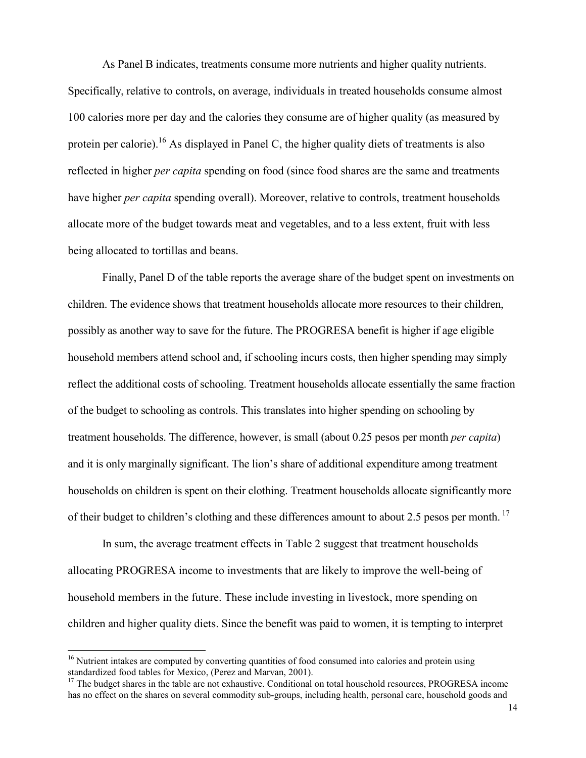As Panel B indicates, treatments consume more nutrients and higher quality nutrients. Specifically, relative to controls, on average, individuals in treated households consume almost 100 calories more per day and the calories they consume are of higher quality (as measured by protein per calorie).<sup>16</sup> As displayed in Panel C, the higher quality diets of treatments is also reflected in higher *per capita* spending on food (since food shares are the same and treatments have higher *per capita* spending overall). Moreover, relative to controls, treatment households allocate more of the budget towards meat and vegetables, and to a less extent, fruit with less being allocated to tortillas and beans.

 Finally, Panel D of the table reports the average share of the budget spent on investments on children. The evidence shows that treatment households allocate more resources to their children, possibly as another way to save for the future. The PROGRESA benefit is higher if age eligible household members attend school and, if schooling incurs costs, then higher spending may simply reflect the additional costs of schooling. Treatment households allocate essentially the same fraction of the budget to schooling as controls. This translates into higher spending on schooling by treatment households. The difference, however, is small (about 0.25 pesos per month *per capita*) and it is only marginally significant. The lion's share of additional expenditure among treatment households on children is spent on their clothing. Treatment households allocate significantly more of their budget to children's clothing and these differences amount to about 2.5 pesos per month.<sup>17</sup>

 In sum, the average treatment effects in Table 2 suggest that treatment households allocating PROGRESA income to investments that are likely to improve the well-being of household members in the future. These include investing in livestock, more spending on children and higher quality diets. Since the benefit was paid to women, it is tempting to interpret

<sup>&</sup>lt;sup>16</sup> Nutrient intakes are computed by converting quantities of food consumed into calories and protein using standardized food tables for Mexico, (Perez and Marvan, 2001).

<sup>&</sup>lt;sup>17</sup> The budget shares in the table are not exhaustive. Conditional on total household resources, PROGRESA income has no effect on the shares on several commodity sub-groups, including health, personal care, household goods and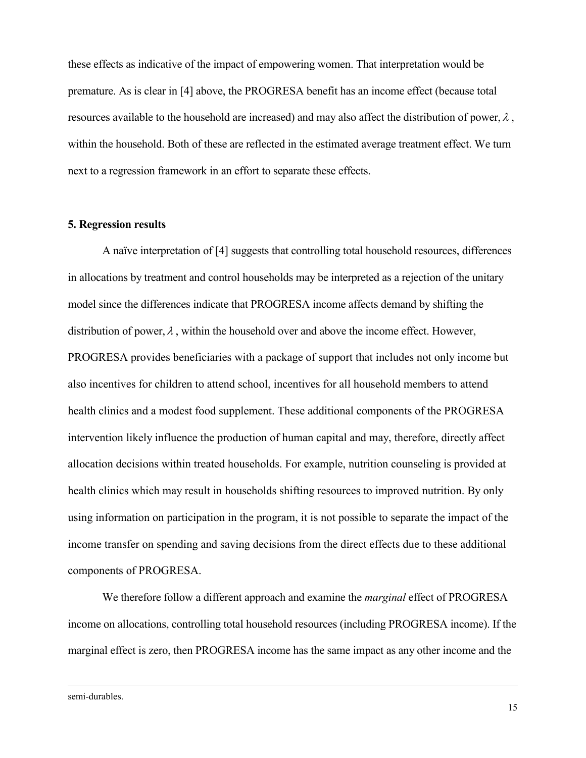these effects as indicative of the impact of empowering women. That interpretation would be premature. As is clear in [4] above, the PROGRESA benefit has an income effect (because total resources available to the household are increased) and may also affect the distribution of power,  $\lambda$ , within the household. Both of these are reflected in the estimated average treatment effect. We turn next to a regression framework in an effort to separate these effects.

### 5. Regression results

 A naïve interpretation of [4] suggests that controlling total household resources, differences in allocations by treatment and control households may be interpreted as a rejection of the unitary model since the differences indicate that PROGRESA income affects demand by shifting the distribution of power,  $\lambda$ , within the household over and above the income effect. However, PROGRESA provides beneficiaries with a package of support that includes not only income but also incentives for children to attend school, incentives for all household members to attend health clinics and a modest food supplement. These additional components of the PROGRESA intervention likely influence the production of human capital and may, therefore, directly affect allocation decisions within treated households. For example, nutrition counseling is provided at health clinics which may result in households shifting resources to improved nutrition. By only using information on participation in the program, it is not possible to separate the impact of the income transfer on spending and saving decisions from the direct effects due to these additional components of PROGRESA.

We therefore follow a different approach and examine the *marginal* effect of PROGRESA income on allocations, controlling total household resources (including PROGRESA income). If the marginal effect is zero, then PROGRESA income has the same impact as any other income and the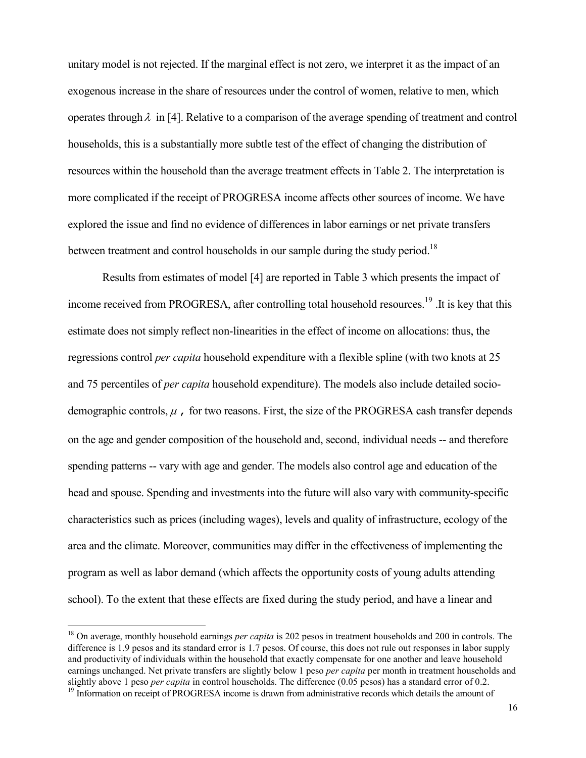unitary model is not rejected. If the marginal effect is not zero, we interpret it as the impact of an exogenous increase in the share of resources under the control of women, relative to men, which operates through  $\lambda$  in [4]. Relative to a comparison of the average spending of treatment and control households, this is a substantially more subtle test of the effect of changing the distribution of resources within the household than the average treatment effects in Table 2. The interpretation is more complicated if the receipt of PROGRESA income affects other sources of income. We have explored the issue and find no evidence of differences in labor earnings or net private transfers between treatment and control households in our sample during the study period.<sup>18</sup>

 Results from estimates of model [4] are reported in Table 3 which presents the impact of income received from PROGRESA, after controlling total household resources.<sup>19</sup> .It is key that this estimate does not simply reflect non-linearities in the effect of income on allocations: thus, the regressions control per capita household expenditure with a flexible spline (with two knots at 25 and 75 percentiles of per capita household expenditure). The models also include detailed sociodemographic controls,  $\mu$ , for two reasons. First, the size of the PROGRESA cash transfer depends on the age and gender composition of the household and, second, individual needs -- and therefore spending patterns -- vary with age and gender. The models also control age and education of the head and spouse. Spending and investments into the future will also vary with community-specific characteristics such as prices (including wages), levels and quality of infrastructure, ecology of the area and the climate. Moreover, communities may differ in the effectiveness of implementing the program as well as labor demand (which affects the opportunity costs of young adults attending school). To the extent that these effects are fixed during the study period, and have a linear and

<sup>&</sup>lt;sup>18</sup> On average, monthly household earnings *per capita* is 202 pesos in treatment households and 200 in controls. The difference is 1.9 pesos and its standard error is 1.7 pesos. Of course, this does not rule out responses in labor supply and productivity of individuals within the household that exactly compensate for one another and leave household earnings unchanged. Net private transfers are slightly below 1 peso *per capita* per month in treatment households and slightly above 1 peso *per capita* in control households. The difference (0.05 pesos) has a standard error of 0.2.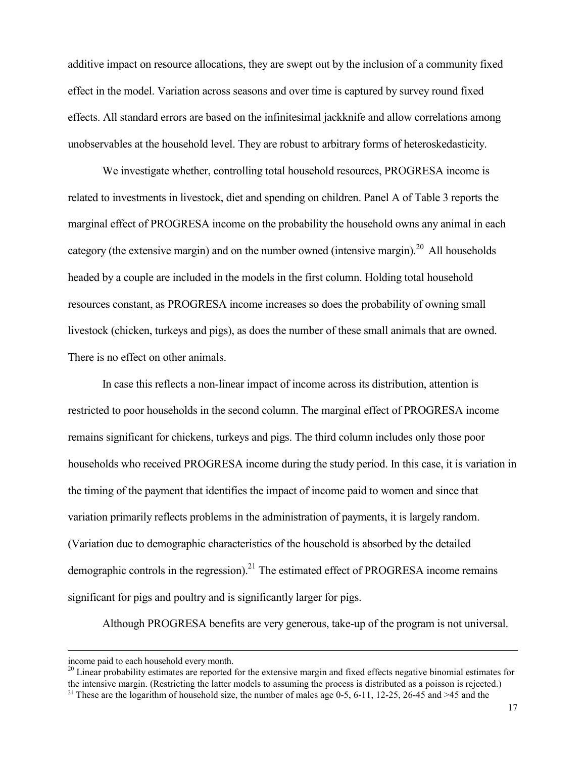additive impact on resource allocations, they are swept out by the inclusion of a community fixed effect in the model. Variation across seasons and over time is captured by survey round fixed effects. All standard errors are based on the infinitesimal jackknife and allow correlations among unobservables at the household level. They are robust to arbitrary forms of heteroskedasticity.

 We investigate whether, controlling total household resources, PROGRESA income is related to investments in livestock, diet and spending on children. Panel A of Table 3 reports the marginal effect of PROGRESA income on the probability the household owns any animal in each category (the extensive margin) and on the number owned (intensive margin).<sup>20</sup> All households headed by a couple are included in the models in the first column. Holding total household resources constant, as PROGRESA income increases so does the probability of owning small livestock (chicken, turkeys and pigs), as does the number of these small animals that are owned. There is no effect on other animals.

 In case this reflects a non-linear impact of income across its distribution, attention is restricted to poor households in the second column. The marginal effect of PROGRESA income remains significant for chickens, turkeys and pigs. The third column includes only those poor households who received PROGRESA income during the study period. In this case, it is variation in the timing of the payment that identifies the impact of income paid to women and since that variation primarily reflects problems in the administration of payments, it is largely random. (Variation due to demographic characteristics of the household is absorbed by the detailed demographic controls in the regression).<sup>21</sup> The estimated effect of PROGRESA income remains significant for pigs and poultry and is significantly larger for pigs.

Although PROGRESA benefits are very generous, take-up of the program is not universal.

 $\overline{a}$ 

 $20$  Linear probability estimates are reported for the extensive margin and fixed effects negative binomial estimates for the intensive margin. (Restricting the latter models to assuming the process is distributed as a poisson is rejected.) <sup>21</sup> These are the logarithm of household size, the number of males age 0-5, 6-11, 12-25, 26-45 and >45 and the

income paid to each household every month.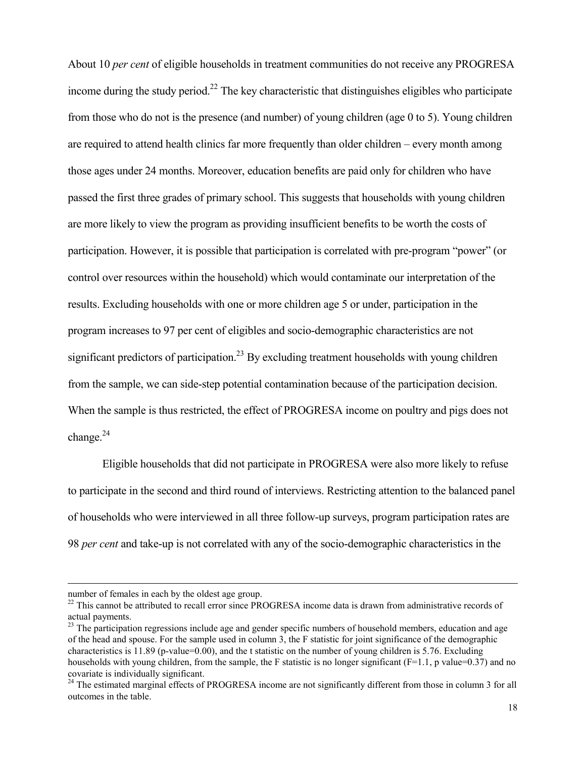About 10 per cent of eligible households in treatment communities do not receive any PROGRESA income during the study period.<sup>22</sup> The key characteristic that distinguishes eligibles who participate from those who do not is the presence (and number) of young children (age 0 to 5). Young children are required to attend health clinics far more frequently than older children – every month among those ages under 24 months. Moreover, education benefits are paid only for children who have passed the first three grades of primary school. This suggests that households with young children are more likely to view the program as providing insufficient benefits to be worth the costs of participation. However, it is possible that participation is correlated with pre-program "power" (or control over resources within the household) which would contaminate our interpretation of the results. Excluding households with one or more children age 5 or under, participation in the program increases to 97 per cent of eligibles and socio-demographic characteristics are not significant predictors of participation.<sup>23</sup> By excluding treatment households with young children from the sample, we can side-step potential contamination because of the participation decision. When the sample is thus restricted, the effect of PROGRESA income on poultry and pigs does not change. $24$ 

 Eligible households that did not participate in PROGRESA were also more likely to refuse to participate in the second and third round of interviews. Restricting attention to the balanced panel of households who were interviewed in all three follow-up surveys, program participation rates are 98 per cent and take-up is not correlated with any of the socio-demographic characteristics in the

number of females in each by the oldest age group.

<sup>&</sup>lt;sup>22</sup> This cannot be attributed to recall error since PROGRESA income data is drawn from administrative records of actual payments.

 $^{23}$  The participation regressions include age and gender specific numbers of household members, education and age of the head and spouse. For the sample used in column 3, the F statistic for joint significance of the demographic characteristics is 11.89 (p-value=0.00), and the t statistic on the number of young children is 5.76. Excluding households with young children, from the sample, the F statistic is no longer significant  $(F=1.1, p$  value=0.37) and no covariate is individually significant.

<sup>&</sup>lt;sup>24</sup> The estimated marginal effects of PROGRESA income are not significantly different from those in column 3 for all outcomes in the table.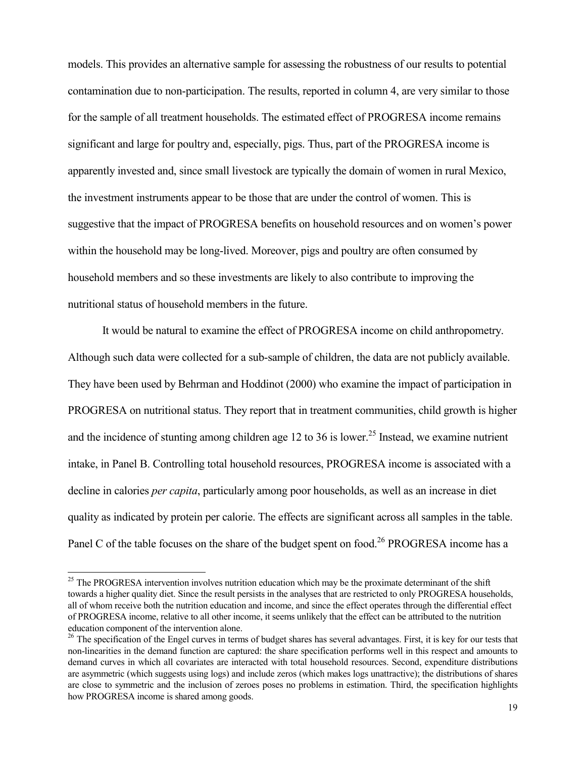models. This provides an alternative sample for assessing the robustness of our results to potential contamination due to non-participation. The results, reported in column 4, are very similar to those for the sample of all treatment households. The estimated effect of PROGRESA income remains significant and large for poultry and, especially, pigs. Thus, part of the PROGRESA income is apparently invested and, since small livestock are typically the domain of women in rural Mexico, the investment instruments appear to be those that are under the control of women. This is suggestive that the impact of PROGRESA benefits on household resources and on women's power within the household may be long-lived. Moreover, pigs and poultry are often consumed by household members and so these investments are likely to also contribute to improving the nutritional status of household members in the future.

 It would be natural to examine the effect of PROGRESA income on child anthropometry. Although such data were collected for a sub-sample of children, the data are not publicly available. They have been used by Behrman and Hoddinot (2000) who examine the impact of participation in PROGRESA on nutritional status. They report that in treatment communities, child growth is higher and the incidence of stunting among children age 12 to 36 is lower.<sup>25</sup> Instead, we examine nutrient intake, in Panel B. Controlling total household resources, PROGRESA income is associated with a decline in calories *per capita*, particularly among poor households, as well as an increase in diet quality as indicated by protein per calorie. The effects are significant across all samples in the table. Panel C of the table focuses on the share of the budget spent on food.<sup>26</sup> PROGRESA income has a

<sup>&</sup>lt;sup>25</sup> The PROGRESA intervention involves nutrition education which may be the proximate determinant of the shift towards a higher quality diet. Since the result persists in the analyses that are restricted to only PROGRESA households, all of whom receive both the nutrition education and income, and since the effect operates through the differential effect of PROGRESA income, relative to all other income, it seems unlikely that the effect can be attributed to the nutrition education component of the intervention alone.

<sup>&</sup>lt;sup>26</sup> The specification of the Engel curves in terms of budget shares has several advantages. First, it is key for our tests that non-linearities in the demand function are captured: the share specification performs well in this respect and amounts to demand curves in which all covariates are interacted with total household resources. Second, expenditure distributions are asymmetric (which suggests using logs) and include zeros (which makes logs unattractive); the distributions of shares are close to symmetric and the inclusion of zeroes poses no problems in estimation. Third, the specification highlights how PROGRESA income is shared among goods.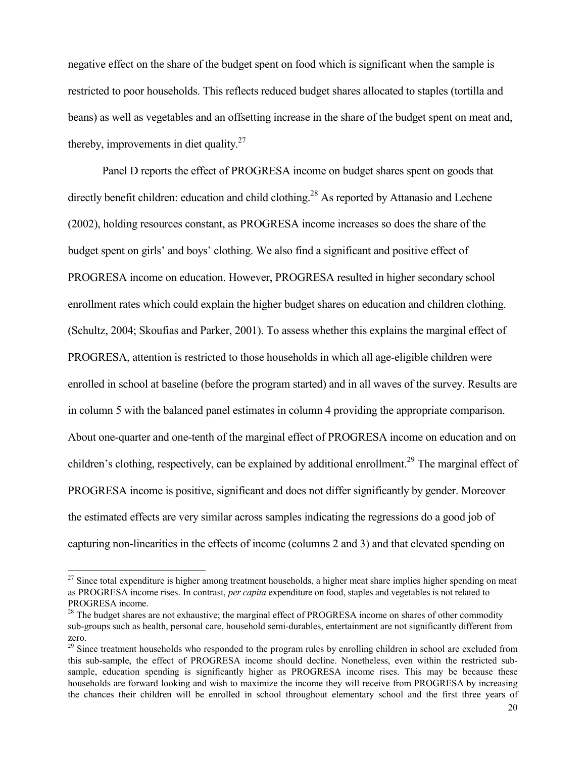negative effect on the share of the budget spent on food which is significant when the sample is restricted to poor households. This reflects reduced budget shares allocated to staples (tortilla and beans) as well as vegetables and an offsetting increase in the share of the budget spent on meat and, thereby, improvements in diet quality.<sup>27</sup>

 Panel D reports the effect of PROGRESA income on budget shares spent on goods that directly benefit children: education and child clothing.<sup>28</sup> As reported by Attanasio and Lechene (2002), holding resources constant, as PROGRESA income increases so does the share of the budget spent on girls' and boys' clothing. We also find a significant and positive effect of PROGRESA income on education. However, PROGRESA resulted in higher secondary school enrollment rates which could explain the higher budget shares on education and children clothing. (Schultz, 2004; Skoufias and Parker, 2001). To assess whether this explains the marginal effect of PROGRESA, attention is restricted to those households in which all age-eligible children were enrolled in school at baseline (before the program started) and in all waves of the survey. Results are in column 5 with the balanced panel estimates in column 4 providing the appropriate comparison. About one-quarter and one-tenth of the marginal effect of PROGRESA income on education and on children's clothing, respectively, can be explained by additional enrollment.<sup>29</sup> The marginal effect of PROGRESA income is positive, significant and does not differ significantly by gender. Moreover the estimated effects are very similar across samples indicating the regressions do a good job of capturing non-linearities in the effects of income (columns 2 and 3) and that elevated spending on

 $27$  Since total expenditure is higher among treatment households, a higher meat share implies higher spending on meat as PROGRESA income rises. In contrast, *per capita* expenditure on food, staples and vegetables is not related to PROGRESA income.

<sup>&</sup>lt;sup>28</sup> The budget shares are not exhaustive; the marginal effect of PROGRESA income on shares of other commodity sub-groups such as health, personal care, household semi-durables, entertainment are not significantly different from zero.

<sup>&</sup>lt;sup>29</sup> Since treatment households who responded to the program rules by enrolling children in school are excluded from this sub-sample, the effect of PROGRESA income should decline. Nonetheless, even within the restricted subsample, education spending is significantly higher as PROGRESA income rises. This may be because these households are forward looking and wish to maximize the income they will receive from PROGRESA by increasing the chances their children will be enrolled in school throughout elementary school and the first three years of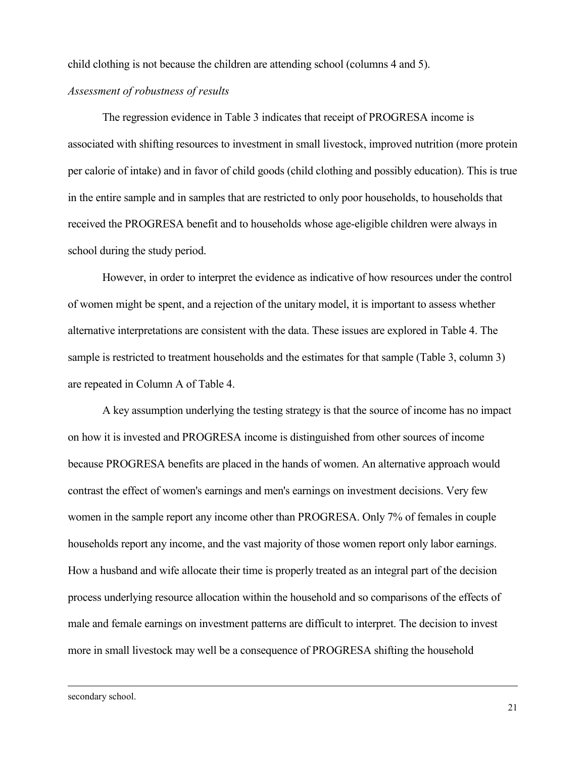child clothing is not because the children are attending school (columns 4 and 5).

### Assessment of robustness of results

 The regression evidence in Table 3 indicates that receipt of PROGRESA income is associated with shifting resources to investment in small livestock, improved nutrition (more protein per calorie of intake) and in favor of child goods (child clothing and possibly education). This is true in the entire sample and in samples that are restricted to only poor households, to households that received the PROGRESA benefit and to households whose age-eligible children were always in school during the study period.

 However, in order to interpret the evidence as indicative of how resources under the control of women might be spent, and a rejection of the unitary model, it is important to assess whether alternative interpretations are consistent with the data. These issues are explored in Table 4. The sample is restricted to treatment households and the estimates for that sample (Table 3, column 3) are repeated in Column A of Table 4.

 A key assumption underlying the testing strategy is that the source of income has no impact on how it is invested and PROGRESA income is distinguished from other sources of income because PROGRESA benefits are placed in the hands of women. An alternative approach would contrast the effect of women's earnings and men's earnings on investment decisions. Very few women in the sample report any income other than PROGRESA. Only 7% of females in couple households report any income, and the vast majority of those women report only labor earnings. How a husband and wife allocate their time is properly treated as an integral part of the decision process underlying resource allocation within the household and so comparisons of the effects of male and female earnings on investment patterns are difficult to interpret. The decision to invest more in small livestock may well be a consequence of PROGRESA shifting the household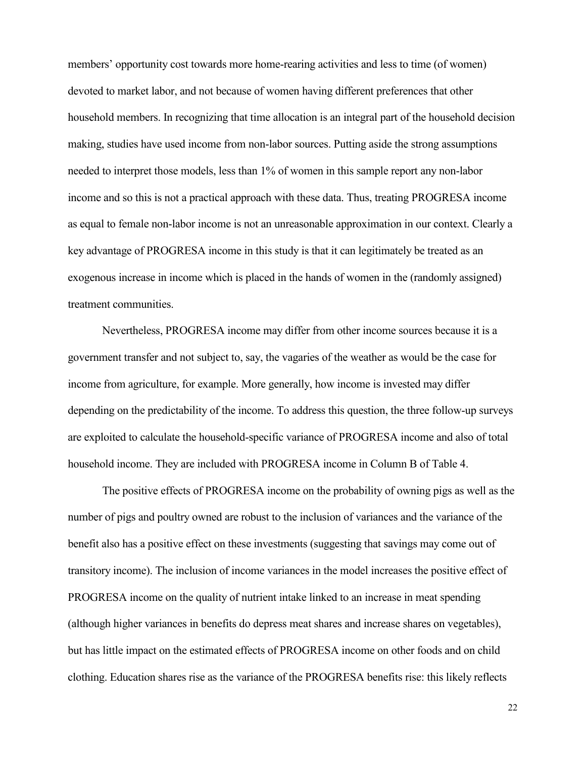members' opportunity cost towards more home-rearing activities and less to time (of women) devoted to market labor, and not because of women having different preferences that other household members. In recognizing that time allocation is an integral part of the household decision making, studies have used income from non-labor sources. Putting aside the strong assumptions needed to interpret those models, less than 1% of women in this sample report any non-labor income and so this is not a practical approach with these data. Thus, treating PROGRESA income as equal to female non-labor income is not an unreasonable approximation in our context. Clearly a key advantage of PROGRESA income in this study is that it can legitimately be treated as an exogenous increase in income which is placed in the hands of women in the (randomly assigned) treatment communities.

 Nevertheless, PROGRESA income may differ from other income sources because it is a government transfer and not subject to, say, the vagaries of the weather as would be the case for income from agriculture, for example. More generally, how income is invested may differ depending on the predictability of the income. To address this question, the three follow-up surveys are exploited to calculate the household-specific variance of PROGRESA income and also of total household income. They are included with PROGRESA income in Column B of Table 4.

 The positive effects of PROGRESA income on the probability of owning pigs as well as the number of pigs and poultry owned are robust to the inclusion of variances and the variance of the benefit also has a positive effect on these investments (suggesting that savings may come out of transitory income). The inclusion of income variances in the model increases the positive effect of PROGRESA income on the quality of nutrient intake linked to an increase in meat spending (although higher variances in benefits do depress meat shares and increase shares on vegetables), but has little impact on the estimated effects of PROGRESA income on other foods and on child clothing. Education shares rise as the variance of the PROGRESA benefits rise: this likely reflects

22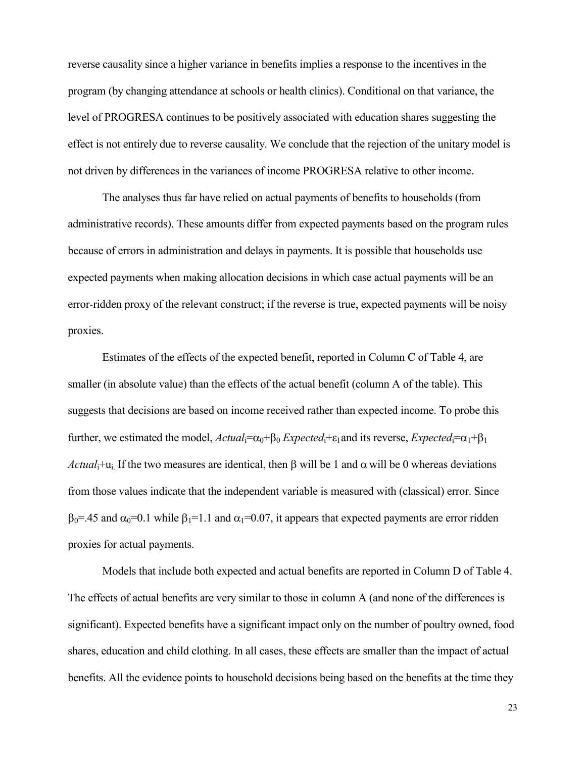reverse causality since a higher variance in benefits implies a response to the incentives in the program (by changing attendance at schools or health clinics). Conditional on that variance, the level of PROGRESA continues to be positively associated with education shares suggesting the effect is not entirely due to reverse causality. We conclude that the rejection of the unitary model is not driven by differences in the variances of income PROGRESA relative to other income.

 The analyses thus far have relied on actual payments of benefits to households (from administrative records). These amounts differ from expected payments based on the program rules because of errors in administration and delays in payments. It is possible that households use expected payments when making allocation decisions in which case actual payments will be an error-ridden proxy of the relevant construct; if the reverse is true, expected payments will be noisy proxies.

 Estimates of the effects of the expected benefit, reported in Column C of Table 4, are smaller (in absolute value) than the effects of the actual benefit (column A of the table). This suggests that decisions are based on income received rather than expected income. To probe this further, we estimated the model,  $Actual_i = \alpha_0 + \beta_0$  Expected<sub>i</sub>+ε<sub>I</sub> and its reverse, Expected<sub>i</sub>= $\alpha_1 + \beta_1$ Actual<sub>i</sub>+u<sub>i</sub>. If the two measures are identical, then  $\beta$  will be 1 and  $\alpha$  will be 0 whereas deviations from those values indicate that the independent variable is measured with (classical) error. Since  $β<sub>0</sub>=.45$  and  $α<sub>0</sub>=0.1$  while  $β<sub>1</sub>=1.1$  and  $α<sub>1</sub>=0.07$ , it appears that expected payments are error ridden proxies for actual payments.

 Models that include both expected and actual benefits are reported in Column D of Table 4. The effects of actual benefits are very similar to those in column A (and none of the differences is significant). Expected benefits have a significant impact only on the number of poultry owned, food shares, education and child clothing. In all cases, these effects are smaller than the impact of actual benefits. All the evidence points to household decisions being based on the benefits at the time they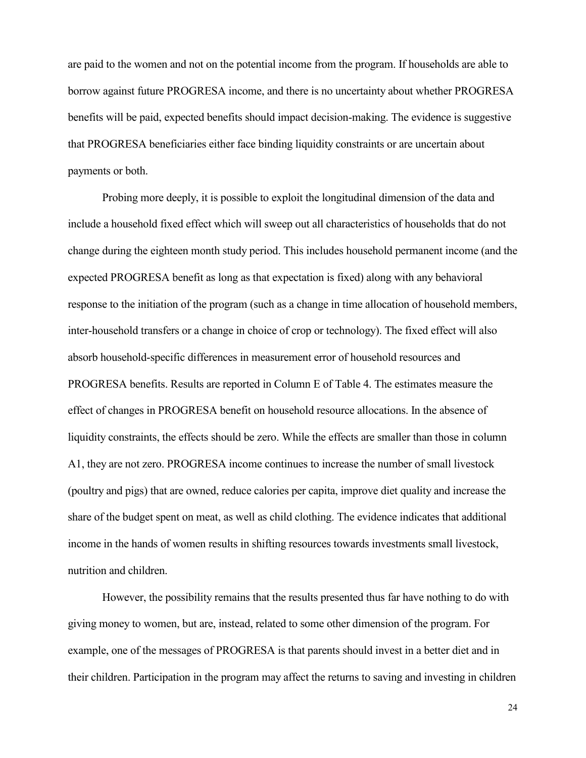are paid to the women and not on the potential income from the program. If households are able to borrow against future PROGRESA income, and there is no uncertainty about whether PROGRESA benefits will be paid, expected benefits should impact decision-making. The evidence is suggestive that PROGRESA beneficiaries either face binding liquidity constraints or are uncertain about payments or both.

 Probing more deeply, it is possible to exploit the longitudinal dimension of the data and include a household fixed effect which will sweep out all characteristics of households that do not change during the eighteen month study period. This includes household permanent income (and the expected PROGRESA benefit as long as that expectation is fixed) along with any behavioral response to the initiation of the program (such as a change in time allocation of household members, inter-household transfers or a change in choice of crop or technology). The fixed effect will also absorb household-specific differences in measurement error of household resources and PROGRESA benefits. Results are reported in Column E of Table 4. The estimates measure the effect of changes in PROGRESA benefit on household resource allocations. In the absence of liquidity constraints, the effects should be zero. While the effects are smaller than those in column A1, they are not zero. PROGRESA income continues to increase the number of small livestock (poultry and pigs) that are owned, reduce calories per capita, improve diet quality and increase the share of the budget spent on meat, as well as child clothing. The evidence indicates that additional income in the hands of women results in shifting resources towards investments small livestock, nutrition and children.

 However, the possibility remains that the results presented thus far have nothing to do with giving money to women, but are, instead, related to some other dimension of the program. For example, one of the messages of PROGRESA is that parents should invest in a better diet and in their children. Participation in the program may affect the returns to saving and investing in children

24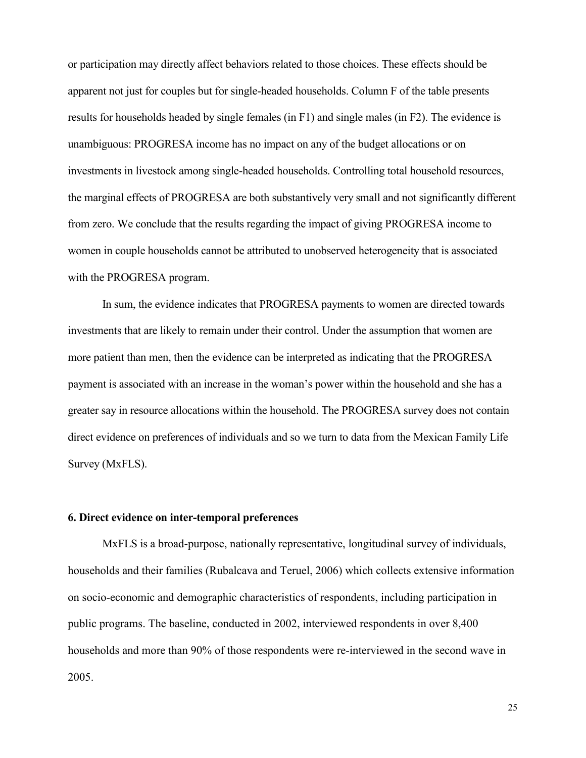or participation may directly affect behaviors related to those choices. These effects should be apparent not just for couples but for single-headed households. Column F of the table presents results for households headed by single females (in F1) and single males (in F2). The evidence is unambiguous: PROGRESA income has no impact on any of the budget allocations or on investments in livestock among single-headed households. Controlling total household resources, the marginal effects of PROGRESA are both substantively very small and not significantly different from zero. We conclude that the results regarding the impact of giving PROGRESA income to women in couple households cannot be attributed to unobserved heterogeneity that is associated with the PROGRESA program.

 In sum, the evidence indicates that PROGRESA payments to women are directed towards investments that are likely to remain under their control. Under the assumption that women are more patient than men, then the evidence can be interpreted as indicating that the PROGRESA payment is associated with an increase in the woman's power within the household and she has a greater say in resource allocations within the household. The PROGRESA survey does not contain direct evidence on preferences of individuals and so we turn to data from the Mexican Family Life Survey (MxFLS).

### 6. Direct evidence on inter-temporal preferences

 MxFLS is a broad-purpose, nationally representative, longitudinal survey of individuals, households and their families (Rubalcava and Teruel, 2006) which collects extensive information on socio-economic and demographic characteristics of respondents, including participation in public programs. The baseline, conducted in 2002, interviewed respondents in over 8,400 households and more than 90% of those respondents were re-interviewed in the second wave in 2005.

25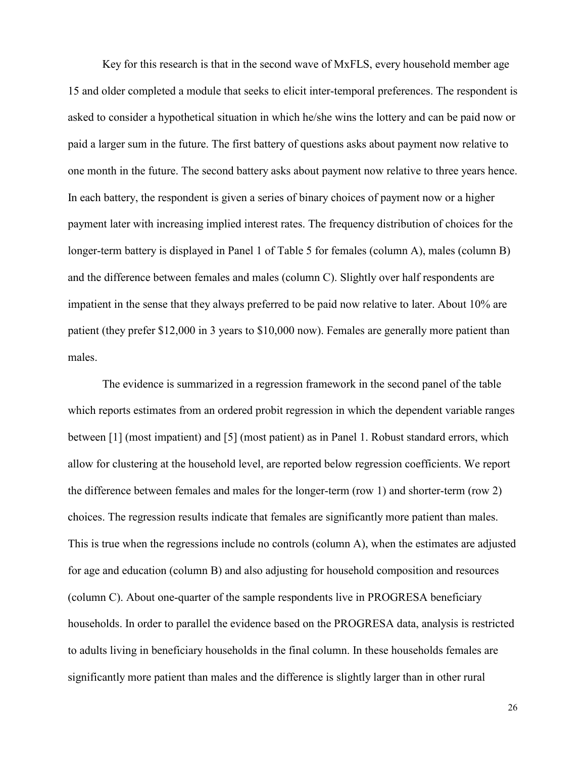Key for this research is that in the second wave of MxFLS, every household member age 15 and older completed a module that seeks to elicit inter-temporal preferences. The respondent is asked to consider a hypothetical situation in which he/she wins the lottery and can be paid now or paid a larger sum in the future. The first battery of questions asks about payment now relative to one month in the future. The second battery asks about payment now relative to three years hence. In each battery, the respondent is given a series of binary choices of payment now or a higher payment later with increasing implied interest rates. The frequency distribution of choices for the longer-term battery is displayed in Panel 1 of Table 5 for females (column A), males (column B) and the difference between females and males (column C). Slightly over half respondents are impatient in the sense that they always preferred to be paid now relative to later. About 10% are patient (they prefer \$12,000 in 3 years to \$10,000 now). Females are generally more patient than males.

 The evidence is summarized in a regression framework in the second panel of the table which reports estimates from an ordered probit regression in which the dependent variable ranges between [1] (most impatient) and [5] (most patient) as in Panel 1. Robust standard errors, which allow for clustering at the household level, are reported below regression coefficients. We report the difference between females and males for the longer-term (row 1) and shorter-term (row 2) choices. The regression results indicate that females are significantly more patient than males. This is true when the regressions include no controls (column A), when the estimates are adjusted for age and education (column B) and also adjusting for household composition and resources (column C). About one-quarter of the sample respondents live in PROGRESA beneficiary households. In order to parallel the evidence based on the PROGRESA data, analysis is restricted to adults living in beneficiary households in the final column. In these households females are significantly more patient than males and the difference is slightly larger than in other rural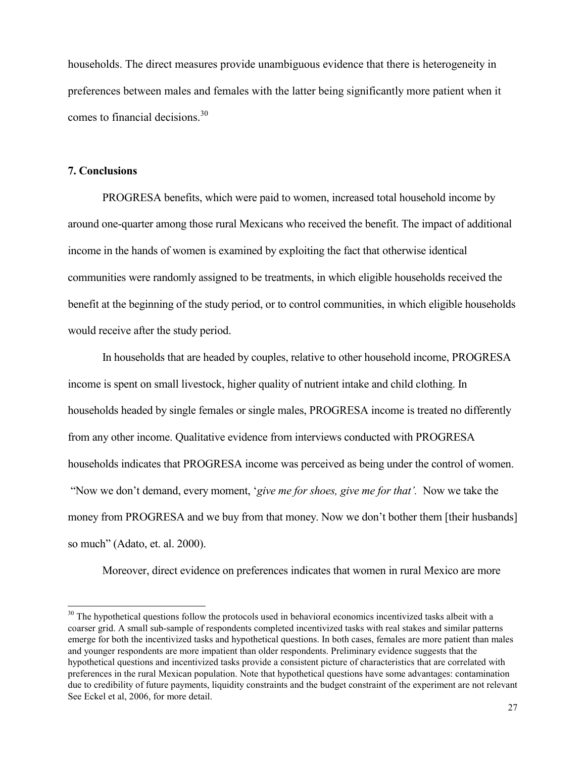households. The direct measures provide unambiguous evidence that there is heterogeneity in preferences between males and females with the latter being significantly more patient when it comes to financial decisions.<sup>30</sup>

### 7. Conclusions

 $\overline{a}$ 

 PROGRESA benefits, which were paid to women, increased total household income by around one-quarter among those rural Mexicans who received the benefit. The impact of additional income in the hands of women is examined by exploiting the fact that otherwise identical communities were randomly assigned to be treatments, in which eligible households received the benefit at the beginning of the study period, or to control communities, in which eligible households would receive after the study period.

In households that are headed by couples, relative to other household income, PROGRESA income is spent on small livestock, higher quality of nutrient intake and child clothing. In households headed by single females or single males, PROGRESA income is treated no differently from any other income. Qualitative evidence from interviews conducted with PROGRESA households indicates that PROGRESA income was perceived as being under the control of women. "Now we don't demand, every moment, 'give me for shoes, give me for that'. Now we take the money from PROGRESA and we buy from that money. Now we don't bother them [their husbands] so much" (Adato, et. al. 2000).

Moreover, direct evidence on preferences indicates that women in rural Mexico are more

 $30$  The hypothetical questions follow the protocols used in behavioral economics incentivized tasks albeit with a coarser grid. A small sub-sample of respondents completed incentivized tasks with real stakes and similar patterns emerge for both the incentivized tasks and hypothetical questions. In both cases, females are more patient than males and younger respondents are more impatient than older respondents. Preliminary evidence suggests that the hypothetical questions and incentivized tasks provide a consistent picture of characteristics that are correlated with preferences in the rural Mexican population. Note that hypothetical questions have some advantages: contamination due to credibility of future payments, liquidity constraints and the budget constraint of the experiment are not relevant See Eckel et al, 2006, for more detail.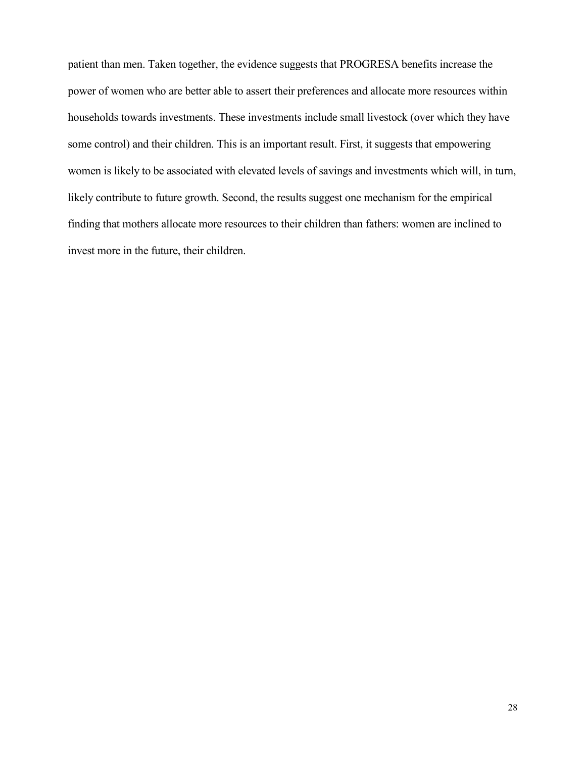patient than men. Taken together, the evidence suggests that PROGRESA benefits increase the power of women who are better able to assert their preferences and allocate more resources within households towards investments. These investments include small livestock (over which they have some control) and their children. This is an important result. First, it suggests that empowering women is likely to be associated with elevated levels of savings and investments which will, in turn, likely contribute to future growth. Second, the results suggest one mechanism for the empirical finding that mothers allocate more resources to their children than fathers: women are inclined to invest more in the future, their children.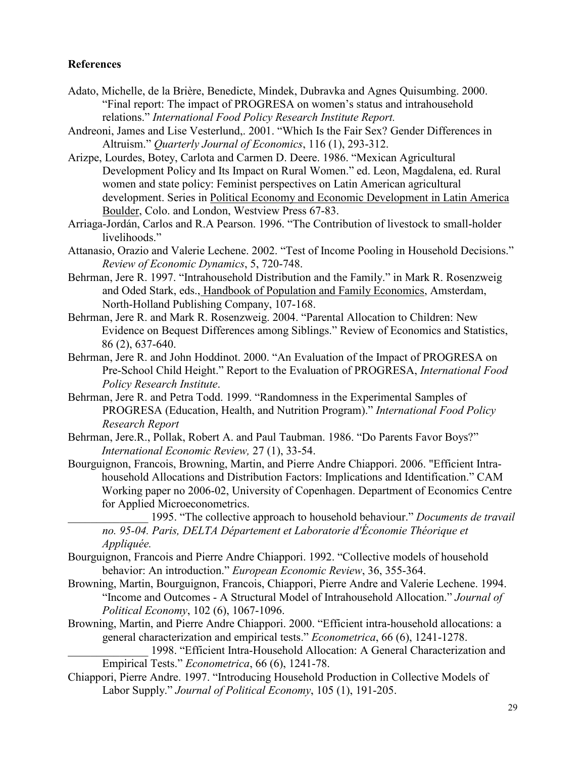# References

- Adato, Michelle, de la Brière, Benedicte, Mindek, Dubravka and Agnes Quisumbing. 2000. "Final report: The impact of PROGRESA on women's status and intrahousehold relations." International Food Policy Research Institute Report.
- Andreoni, James and Lise Vesterlund,. 2001. "Which Is the Fair Sex? Gender Differences in Altruism." Quarterly Journal of Economics, 116 (1), 293-312.
- Arizpe, Lourdes, Botey, Carlota and Carmen D. Deere. 1986. "Mexican Agricultural Development Policy and Its Impact on Rural Women." ed. Leon, Magdalena, ed. Rural women and state policy: Feminist perspectives on Latin American agricultural development. Series in Political Economy and Economic Development in Latin America Boulder, Colo. and London, Westview Press 67-83.
- Arriaga-Jordán, Carlos and R.A Pearson. 1996. "The Contribution of livestock to small-holder livelihoods."
- Attanasio, Orazio and Valerie Lechene. 2002. "Test of Income Pooling in Household Decisions." Review of Economic Dynamics, 5, 720-748.
- Behrman, Jere R. 1997. "Intrahousehold Distribution and the Family." in Mark R. Rosenzweig and Oded Stark, eds., Handbook of Population and Family Economics, Amsterdam, North-Holland Publishing Company, 107-168.
- Behrman, Jere R. and Mark R. Rosenzweig. 2004. "Parental Allocation to Children: New Evidence on Bequest Differences among Siblings." Review of Economics and Statistics, 86 (2), 637-640.
- Behrman, Jere R. and John Hoddinot. 2000. "An Evaluation of the Impact of PROGRESA on Pre-School Child Height." Report to the Evaluation of PROGRESA, International Food Policy Research Institute.
- Behrman, Jere R. and Petra Todd. 1999. "Randomness in the Experimental Samples of PROGRESA (Education, Health, and Nutrition Program)." International Food Policy Research Report

Behrman, Jere.R., Pollak, Robert A. and Paul Taubman. 1986. "Do Parents Favor Boys?" International Economic Review, 27 (1), 33-54.

- Bourguignon, Francois, Browning, Martin, and Pierre Andre Chiappori. 2006. "Efficient Intrahousehold Allocations and Distribution Factors: Implications and Identification." CAM Working paper no 2006-02, University of Copenhagen. Department of Economics Centre for Applied Microeconometrics.
	- 1995. "The collective approach to household behaviour." Documents de travail no. 95-04. Paris, DELTA Département et Laboratorie d'Économie Théorique et Appliquée.
- Bourguignon, Francois and Pierre Andre Chiappori. 1992. "Collective models of household behavior: An introduction." European Economic Review, 36, 355-364.
- Browning, Martin, Bourguignon, Francois, Chiappori, Pierre Andre and Valerie Lechene. 1994. "Income and Outcomes - A Structural Model of Intrahousehold Allocation." Journal of Political Economy, 102 (6), 1067-1096.
- Browning, Martin, and Pierre Andre Chiappori. 2000. "Efficient intra-household allocations: a general characterization and empirical tests." Econometrica, 66 (6), 1241-1278.

```
1998. "Efficient Intra-Household Allocation: A General Characterization and
Empirical Tests." Econometrica, 66 (6), 1241-78.
```
Chiappori, Pierre Andre. 1997. "Introducing Household Production in Collective Models of Labor Supply." Journal of Political Economy, 105 (1), 191-205.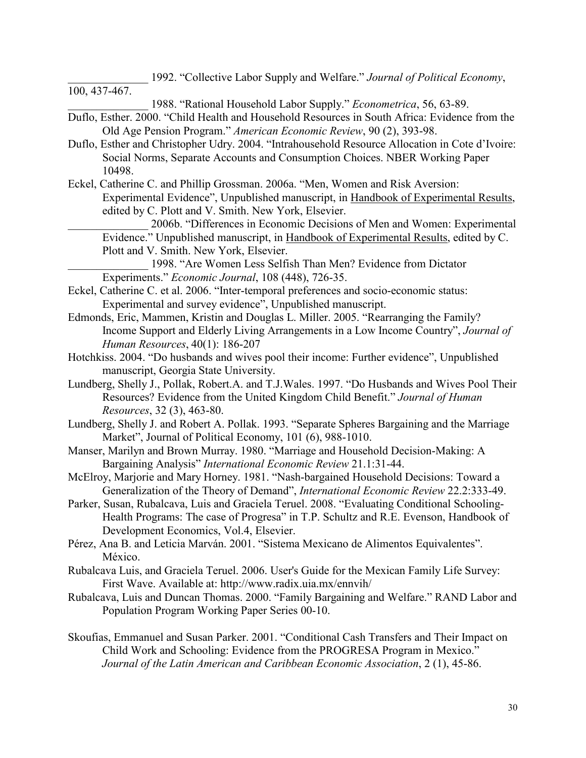1992. "Collective Labor Supply and Welfare." Journal of Political Economy,

100, 437-467.

\_\_\_\_\_\_\_\_\_\_\_\_\_\_ 1988. "Rational Household Labor Supply." Econometrica, 56, 63-89.

- Duflo, Esther. 2000. "Child Health and Household Resources in South Africa: Evidence from the Old Age Pension Program." American Economic Review, 90 (2), 393-98.
- Duflo, Esther and Christopher Udry. 2004. "Intrahousehold Resource Allocation in Cote d'Ivoire: Social Norms, Separate Accounts and Consumption Choices. NBER Working Paper 10498.
- Eckel, Catherine C. and Phillip Grossman. 2006a. "Men, Women and Risk Aversion: Experimental Evidence", Unpublished manuscript, in Handbook of Experimental Results, edited by C. Plott and V. Smith. New York, Elsevier.

\_\_\_\_\_\_\_\_\_\_\_\_\_\_ 2006b. "Differences in Economic Decisions of Men and Women: Experimental Evidence." Unpublished manuscript, in Handbook of Experimental Results, edited by C. Plott and V. Smith. New York, Elsevier.

\_\_\_\_\_\_\_\_\_\_\_\_\_\_ 1998. "Are Women Less Selfish Than Men? Evidence from Dictator Experiments." Economic Journal, 108 (448), 726-35.

- Eckel, Catherine C. et al. 2006. "Inter-temporal preferences and socio-economic status: Experimental and survey evidence", Unpublished manuscript.
- Edmonds, Eric, Mammen, Kristin and Douglas L. Miller. 2005. "Rearranging the Family? Income Support and Elderly Living Arrangements in a Low Income Country", Journal of Human Resources, 40(1): 186-207
- Hotchkiss. 2004. "Do husbands and wives pool their income: Further evidence", Unpublished manuscript, Georgia State University.
- Lundberg, Shelly J., Pollak, Robert.A. and T.J.Wales. 1997. "Do Husbands and Wives Pool Their Resources? Evidence from the United Kingdom Child Benefit." Journal of Human Resources, 32 (3), 463-80.
- Lundberg, Shelly J. and Robert A. Pollak. 1993. "Separate Spheres Bargaining and the Marriage Market", Journal of Political Economy, 101 (6), 988-1010.
- Manser, Marilyn and Brown Murray. 1980. "Marriage and Household Decision-Making: A Bargaining Analysis" International Economic Review 21.1:31-44.
- McElroy, Marjorie and Mary Horney. 1981. "Nash-bargained Household Decisions: Toward a Generalization of the Theory of Demand", International Economic Review 22.2:333-49.
- Parker, Susan, Rubalcava, Luis and Graciela Teruel. 2008. "Evaluating Conditional Schooling-Health Programs: The case of Progresa" in T.P. Schultz and R.E. Evenson, Handbook of Development Economics, Vol.4, Elsevier.
- Pérez, Ana B. and Leticia Marván. 2001. "Sistema Mexicano de Alimentos Equivalentes". México.
- Rubalcava Luis, and Graciela Teruel. 2006. User's Guide for the Mexican Family Life Survey: First Wave. Available at: http://www.radix.uia.mx/ennvih/
- Rubalcava, Luis and Duncan Thomas. 2000. "Family Bargaining and Welfare." RAND Labor and Population Program Working Paper Series 00-10.
- Skoufias, Emmanuel and Susan Parker. 2001. "Conditional Cash Transfers and Their Impact on Child Work and Schooling: Evidence from the PROGRESA Program in Mexico." Journal of the Latin American and Caribbean Economic Association, 2 (1), 45-86.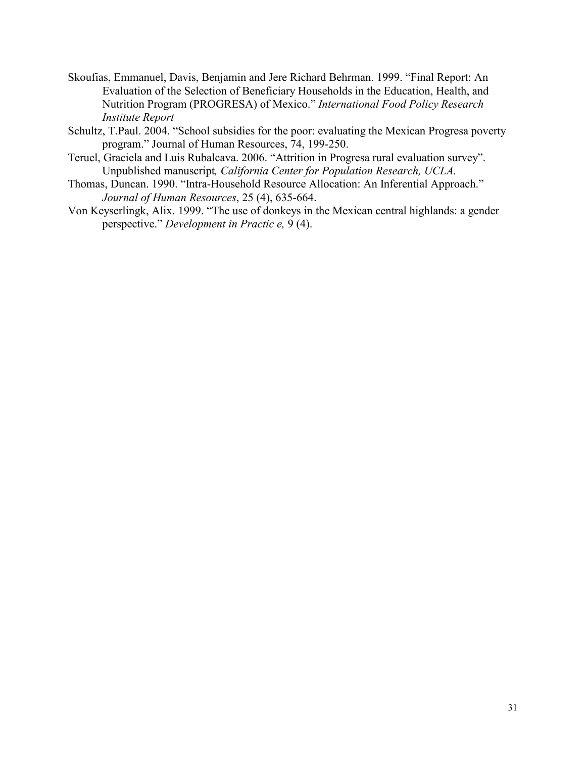- Skoufias, Emmanuel, Davis, Benjamin and Jere Richard Behrman. 1999. "Final Report: An Evaluation of the Selection of Beneficiary Households in the Education, Health, and Nutrition Program (PROGRESA) of Mexico." International Food Policy Research Institute Report
- Schultz, T.Paul. 2004. "School subsidies for the poor: evaluating the Mexican Progresa poverty program." Journal of Human Resources, 74, 199-250.
- Teruel, Graciela and Luis Rubalcava. 2006. "Attrition in Progresa rural evaluation survey". Unpublished manuscript, California Center for Population Research, UCLA.
- Thomas, Duncan. 1990. "Intra-Household Resource Allocation: An Inferential Approach." Journal of Human Resources, 25 (4), 635-664.
- Von Keyserlingk, Alix. 1999. "The use of donkeys in the Mexican central highlands: a gender perspective." Development in Practic e, 9 (4).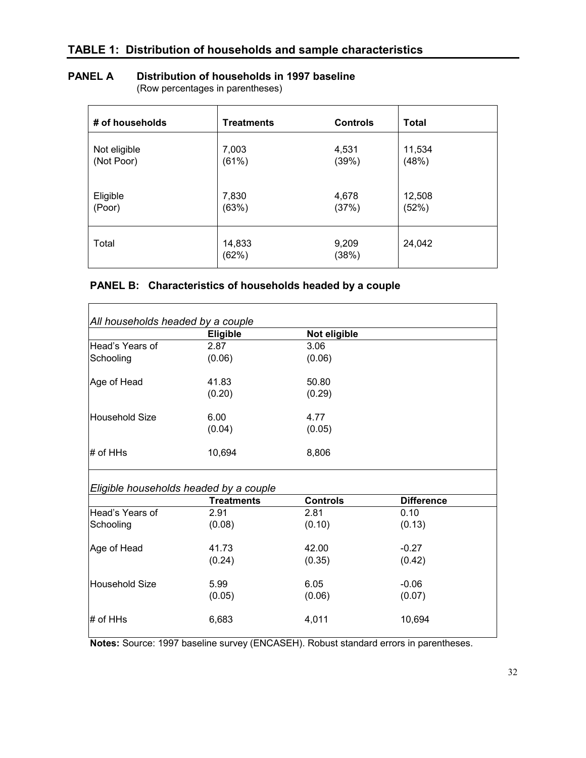# PANEL A Distribution of households in 1997 baseline

(Row percentages in parentheses)

| # of households | <b>Treatments</b> | <b>Controls</b> | <b>Total</b> |
|-----------------|-------------------|-----------------|--------------|
| Not eligible    | 7,003             | 4,531           | 11,534       |
| (Not Poor)      | (61%)             | (39%)           | (48%)        |
| Eligible        | 7,830             | 4,678           | 12,508       |
| (Poor)          | (63%)             | (37%)           | (52%)        |
| Total           | 14,833<br>(62%)   | 9,209<br>(38%)  | 24,042       |

# PANEL B: Characteristics of households headed by a couple

 $\mathsf{r}$ 

|                               | <b>Eligible</b>                                             | Not eligible    |                   |
|-------------------------------|-------------------------------------------------------------|-----------------|-------------------|
| Head's Years of               | 2.87                                                        | 3.06            |                   |
| Schooling                     | (0.06)                                                      | (0.06)          |                   |
| Age of Head                   | 41.83                                                       | 50.80           |                   |
|                               | (0.20)                                                      | (0.29)          |                   |
| Household Size                | 6.00                                                        | 4.77            |                   |
|                               | (0.04)                                                      | (0.05)          |                   |
| $#$ of HHs                    | 10,694                                                      | 8,806           |                   |
|                               |                                                             |                 |                   |
|                               | Eligible households headed by a couple<br><b>Treatments</b> | <b>Controls</b> | <b>Difference</b> |
|                               | 2.91                                                        | 2.81            | 0.10              |
| Head's Years of<br>Schooling  | (0.08)                                                      | (0.10)          | (0.13)            |
|                               | 41.73                                                       | 42.00           | $-0.27$           |
|                               | (0.24)                                                      | (0.35)          | (0.42)            |
| Age of Head<br>Household Size | 5.99                                                        | 6.05            | $-0.06$           |
|                               | (0.05)                                                      | (0.06)          | (0.07)            |

Notes: Source: 1997 baseline survey (ENCASEH). Robust standard errors in parentheses.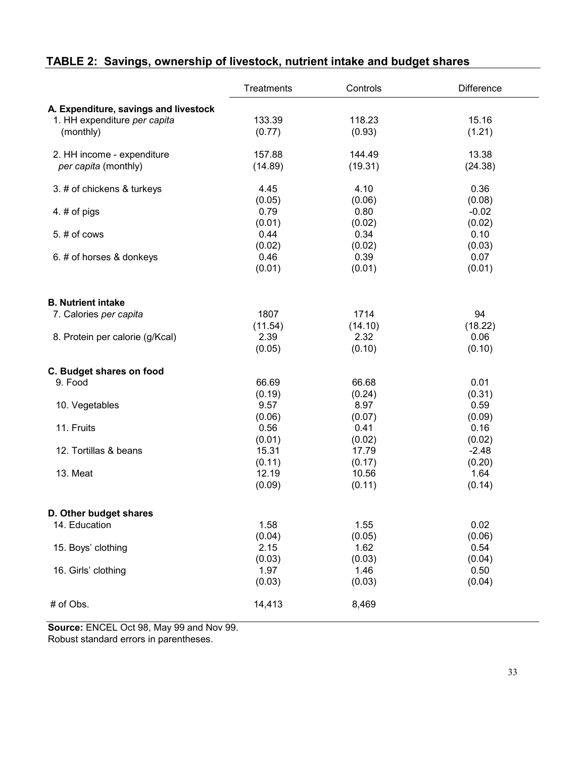|                                       | <b>Treatments</b> | Controls | <b>Difference</b> |
|---------------------------------------|-------------------|----------|-------------------|
| A. Expenditure, savings and livestock |                   |          |                   |
| 1. HH expenditure per capita          | 133.39            | 118.23   | 15.16             |
| (monthly)                             | (0.77)            | (0.93)   | (1.21)            |
| 2. HH income - expenditure            | 157.88            | 144.49   | 13.38             |
| per capita (monthly)                  | (14.89)           | (19.31)  | (24.38)           |
|                                       |                   |          |                   |
| 3. # of chickens & turkeys            | 4.45              | 4.10     | 0.36              |
|                                       | (0.05)            | (0.06)   | (0.08)            |
| 4. # of pigs                          | 0.79              | 0.80     | $-0.02$           |
|                                       | (0.01)            | (0.02)   | (0.02)            |
| $5.$ # of cows                        | 0.44              | 0.34     | 0.10              |
|                                       | (0.02)            | (0.02)   | (0.03)            |
| 6. # of horses & donkeys              | 0.46              | 0.39     | 0.07              |
|                                       | (0.01)            | (0.01)   | (0.01)            |
| <b>B. Nutrient intake</b>             |                   |          |                   |
| 7. Calories per capita                | 1807              | 1714     | 94                |
|                                       | (11.54)           | (14.10)  | (18.22)           |
| 8. Protein per calorie (g/Kcal)       | 2.39              | 2.32     | 0.06              |
|                                       | (0.05)            | (0.10)   | (0.10)            |
| C. Budget shares on food              |                   |          |                   |
| 9. Food                               | 66.69             | 66.68    | 0.01              |
|                                       | (0.19)            | (0.24)   | (0.31)            |
| 10. Vegetables                        | 9.57              | 8.97     | 0.59              |
|                                       | (0.06)            | (0.07)   | (0.09)            |
| 11. Fruits                            | 0.56              | 0.41     | 0.16              |
|                                       | (0.01)            | (0.02)   | (0.02)            |
| 12. Tortillas & beans                 | 15.31             | 17.79    | $-2.48$           |
|                                       | (0.11)            | (0.17)   | (0.20)            |
| 13. Meat                              | 12.19             | 10.56    | 1.64              |
|                                       | (0.09)            | (0.11)   | (0.14)            |
| D. Other budget shares                |                   |          |                   |
| 14. Education                         | 1.58              | 1.55     | 0.02              |
|                                       | (0.04)            | (0.05)   | (0.06)            |
| 15. Boys' clothing                    | 2.15              | 1.62     | 0.54              |
|                                       | (0.03)            | (0.03)   | (0.04)            |
| 16. Girls' clothing                   | 1.97              | 1.46     | 0.50              |
|                                       | (0.03)            | (0.03)   | (0.04)            |
| # of Obs.                             | 14,413            | 8,469    |                   |

# TABLE 2: Savings, ownership of livestock, nutrient intake and budget shares

Source: ENCEL Oct 98, May 99 and Nov 99.

Robust standard errors in parentheses.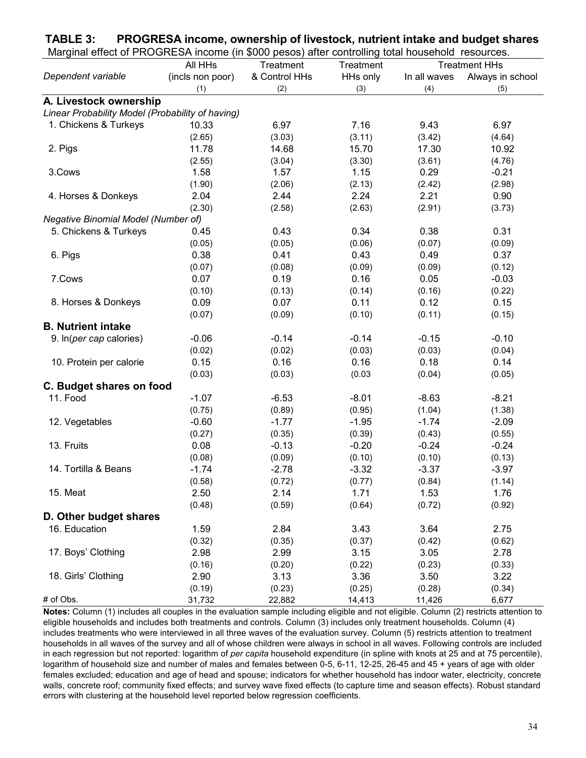| Marginal effect of PROGRESA income (in \$000 pesos) after controlling total household resources. |                  |               |           |              |                      |
|--------------------------------------------------------------------------------------------------|------------------|---------------|-----------|--------------|----------------------|
|                                                                                                  | All HHs          | Treatment     | Treatment |              | <b>Treatment HHs</b> |
| Dependent variable                                                                               | (incls non poor) | & Control HHs | HHs only  | In all waves | Always in school     |
|                                                                                                  | (1)              | (2)           | (3)       | (4)          | (5)                  |
| A. Livestock ownership                                                                           |                  |               |           |              |                      |
| Linear Probability Model (Probability of having)                                                 |                  |               |           |              |                      |
| 1. Chickens & Turkeys                                                                            | 10.33            | 6.97          | 7.16      | 9.43         | 6.97                 |
|                                                                                                  | (2.65)           | (3.03)        | (3.11)    | (3.42)       | (4.64)               |
| 2. Pigs                                                                                          | 11.78            | 14.68         | 15.70     | 17.30        | 10.92                |
|                                                                                                  | (2.55)           | (3.04)        | (3.30)    | (3.61)       | (4.76)               |
| 3.Cows                                                                                           | 1.58             | 1.57          | 1.15      | 0.29         | $-0.21$              |
|                                                                                                  | (1.90)           | (2.06)        | (2.13)    | (2.42)       | (2.98)               |
| 4. Horses & Donkeys                                                                              | 2.04             | 2.44          | 2.24      | 2.21         | 0.90                 |
|                                                                                                  | (2.30)           | (2.58)        | (2.63)    | (2.91)       | (3.73)               |
| Negative Binomial Model (Number of)                                                              |                  |               |           |              |                      |
| 5. Chickens & Turkeys                                                                            | 0.45             | 0.43          | 0.34      | 0.38         | 0.31                 |
|                                                                                                  | (0.05)           | (0.05)        | (0.06)    | (0.07)       | (0.09)               |
| 6. Pigs                                                                                          | 0.38             | 0.41          | 0.43      | 0.49         | 0.37                 |
|                                                                                                  | (0.07)           | (0.08)        | (0.09)    | (0.09)       | (0.12)               |
| 7.Cows                                                                                           | 0.07             | 0.19          | 0.16      | 0.05         | $-0.03$              |
|                                                                                                  | (0.10)           | (0.13)        | (0.14)    | (0.16)       | (0.22)               |
| 8. Horses & Donkeys                                                                              | 0.09             | 0.07          | 0.11      | 0.12         | 0.15                 |
|                                                                                                  | (0.07)           | (0.09)        | (0.10)    | (0.11)       | (0.15)               |
| <b>B. Nutrient intake</b>                                                                        |                  |               |           |              |                      |
| 9. In(per cap calories)                                                                          | $-0.06$          | $-0.14$       | $-0.14$   | $-0.15$      | $-0.10$              |
|                                                                                                  | (0.02)           | (0.02)        | (0.03)    | (0.03)       | (0.04)               |
| 10. Protein per calorie                                                                          | 0.15             | 0.16          | 0.16      | 0.18         | 0.14                 |
|                                                                                                  | (0.03)           | (0.03)        | (0.03)    | (0.04)       | (0.05)               |
| C. Budget shares on food                                                                         |                  |               |           |              |                      |
| 11. Food                                                                                         | $-1.07$          | $-6.53$       | $-8.01$   | $-8.63$      | $-8.21$              |
|                                                                                                  | (0.75)           | (0.89)        | (0.95)    | (1.04)       | (1.38)               |
| 12. Vegetables                                                                                   | $-0.60$          | $-1.77$       | $-1.95$   | $-1.74$      | $-2.09$              |
|                                                                                                  | (0.27)           | (0.35)        | (0.39)    | (0.43)       | (0.55)               |
| 13. Fruits                                                                                       | 0.08             | $-0.13$       | $-0.20$   | $-0.24$      | $-0.24$              |
|                                                                                                  | (0.08)           | (0.09)        | (0.10)    | (0.10)       | (0.13)               |
| 14. Tortilla & Beans                                                                             | $-1.74$          | $-2.78$       | $-3.32$   | $-3.37$      | $-3.97$              |
|                                                                                                  | (0.58)           | (0.72)        | (0.77)    | (0.84)       | (1.14)               |
| 15. Meat                                                                                         | 2.50             | 2.14          | 1.71      | 1.53         | 1.76                 |
|                                                                                                  | (0.48)           | (0.59)        | (0.64)    | (0.72)       | (0.92)               |
| D. Other budget shares                                                                           |                  |               |           |              |                      |
| 16. Education                                                                                    | 1.59             | 2.84          | 3.43      | 3.64         | 2.75                 |
|                                                                                                  | (0.32)           | (0.35)        | (0.37)    | (0.42)       | (0.62)               |
| 17. Boys' Clothing                                                                               | 2.98             | 2.99          | 3.15      | 3.05         | 2.78                 |
|                                                                                                  | (0.16)           | (0.20)        | (0.22)    | (0.23)       | (0.33)               |
| 18. Girls' Clothing                                                                              | 2.90             | 3.13          | 3.36      | 3.50         | 3.22                 |
|                                                                                                  | (0.19)           | (0.23)        | (0.25)    | (0.28)       | (0.34)               |
| # of Obs.                                                                                        | 31,732           | 22,882        | 14,413    | 11,426       | 6,677                |

TABLE 3: PROGRESA income, ownership of livestock, nutrient intake and budget shares

Notes: Column (1) includes all couples in the evaluation sample including eligible and not eligible. Column (2) restricts attention to eligible households and includes both treatments and controls. Column (3) includes only treatment households. Column (4) includes treatments who were interviewed in all three waves of the evaluation survey. Column (5) restricts attention to treatment households in all waves of the survey and all of whose children were always in school in all waves. Following controls are included in each regression but not reported: logarithm of per capita household expenditure (in spline with knots at 25 and at 75 percentile), logarithm of household size and number of males and females between 0-5, 6-11, 12-25, 26-45 and 45 + years of age with older females excluded; education and age of head and spouse; indicators for whether household has indoor water, electricity, concrete walls, concrete roof; community fixed effects; and survey wave fixed effects (to capture time and season effects). Robust standard errors with clustering at the household level reported below regression coefficients.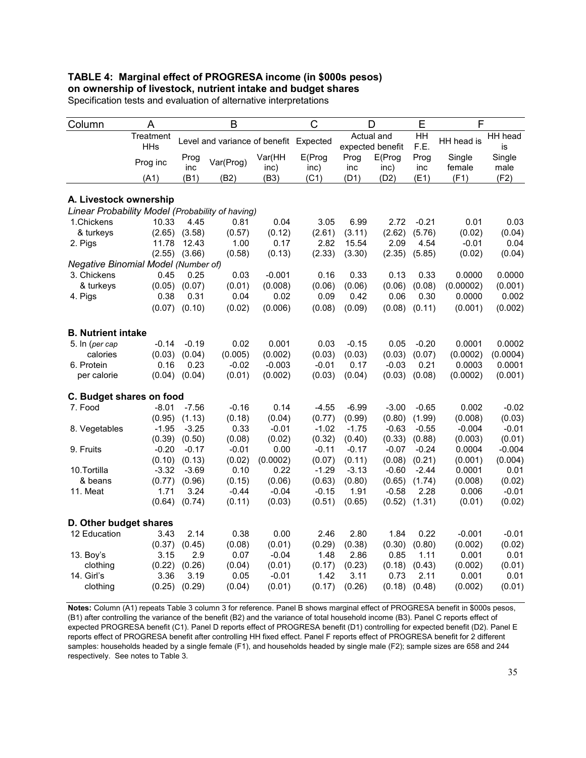#### TABLE 4: Marginal effect of PROGRESA income (in \$000s pesos) on ownership of livestock, nutrient intake and budget shares

| Column                                           | A                       |                   | B                                      |                | C               |             | D                              | E                      | F                |                |
|--------------------------------------------------|-------------------------|-------------------|----------------------------------------|----------------|-----------------|-------------|--------------------------------|------------------------|------------------|----------------|
|                                                  | Treatment<br><b>HHs</b> |                   | Level and variance of benefit Expected |                |                 |             | Actual and<br>expected benefit | $\overline{H}$<br>F.E. | HH head is       | HH head<br>is  |
|                                                  | Prog inc                | Prog<br>inc       | Var(Prog)                              | Var(HH<br>inc) | E(Prog)<br>inc) | Prog<br>inc | E(Prog<br>inc)                 | Prog<br>inc            | Single<br>female | Single<br>male |
|                                                  | (A1)                    | (B1)              | (B2)                                   | (B3)           | (C1)            | (D1)        | (D2)                           | (E1)                   | (F1)             | (F2)           |
| A. Livestock ownership                           |                         |                   |                                        |                |                 |             |                                |                        |                  |                |
| Linear Probability Model (Probability of having) |                         |                   |                                        |                |                 |             |                                |                        |                  |                |
| 1. Chickens                                      | 10.33                   | 4.45              | 0.81                                   | 0.04           | 3.05            | 6.99        | 2.72                           | $-0.21$                | 0.01             | 0.03           |
| & turkeys                                        | (2.65)                  | (3.58)            | (0.57)                                 | (0.12)         | (2.61)          | (3.11)      | (2.62)                         | (5.76)                 | (0.02)           | (0.04)         |
| 2. Pigs                                          | 11.78                   | 12.43             | 1.00                                   | 0.17           | 2.82            | 15.54       | 2.09                           | 4.54                   | $-0.01$          | 0.04           |
|                                                  |                         | $(2.55)$ $(3.66)$ | (0.58)                                 | (0.13)         | (2.33)          | (3.30)      | (2.35)                         | (5.85)                 | (0.02)           | (0.04)         |
| Negative Binomial Model (Number of)              |                         |                   |                                        |                |                 |             |                                |                        |                  |                |
| 3. Chickens                                      | 0.45                    | 0.25              | 0.03                                   | $-0.001$       | 0.16            | 0.33        | 0.13                           | 0.33                   | 0.0000           | 0.0000         |
| & turkeys                                        | (0.05)                  | (0.07)            | (0.01)                                 | (0.008)        | (0.06)          | (0.06)      | (0.06)                         | (0.08)                 | (0.00002)        | (0.001)        |
| 4. Pigs                                          | 0.38                    | 0.31              | 0.04                                   | 0.02           | 0.09            | 0.42        | 0.06                           | 0.30                   | 0.0000           | 0.002          |
|                                                  | (0.07)                  | (0.10)            | (0.02)                                 | (0.006)        | (0.08)          | (0.09)      | (0.08)                         | (0.11)                 | (0.001)          | (0.002)        |
| <b>B. Nutrient intake</b>                        |                         |                   |                                        |                |                 |             |                                |                        |                  |                |
| 5. In (per cap                                   | $-0.14$                 | $-0.19$           | 0.02                                   | 0.001          | 0.03            | $-0.15$     | 0.05                           | $-0.20$                | 0.0001           | 0.0002         |
| calories                                         | (0.03)                  | (0.04)            | (0.005)                                | (0.002)        | (0.03)          | (0.03)      | (0.03)                         | (0.07)                 | (0.0002)         | (0.0004)       |
| 6. Protein                                       | 0.16                    | 0.23              | $-0.02$                                | $-0.003$       | $-0.01$         | 0.17        | $-0.03$                        | 0.21                   | 0.0003           | 0.0001         |
| per calorie                                      | (0.04)                  | (0.04)            | (0.01)                                 | (0.002)        | (0.03)          | (0.04)      | (0.03)                         | (0.08)                 | (0.0002)         | (0.001)        |
| C. Budget shares on food                         |                         |                   |                                        |                |                 |             |                                |                        |                  |                |
| 7. Food                                          | $-8.01$                 | $-7.56$           | $-0.16$                                | 0.14           | $-4.55$         | $-6.99$     | $-3.00$                        | $-0.65$                | 0.002            | $-0.02$        |
|                                                  | (0.95)                  | (1.13)            | (0.18)                                 | (0.04)         | (0.77)          | (0.99)      | (0.80)                         | (1.99)                 | (0.008)          | (0.03)         |
| 8. Vegetables                                    | $-1.95$                 | $-3.25$           | 0.33                                   | $-0.01$        | $-1.02$         | $-1.75$     | $-0.63$                        | $-0.55$                | $-0.004$         | $-0.01$        |
|                                                  | (0.39)                  | (0.50)            | (0.08)                                 | (0.02)         | (0.32)          | (0.40)      | (0.33)                         | (0.88)                 | (0.003)          | (0.01)         |
| 9. Fruits                                        | $-0.20$                 | $-0.17$           | $-0.01$                                | 0.00           | $-0.11$         | $-0.17$     | $-0.07$                        | $-0.24$                | 0.0004           | $-0.004$       |
|                                                  | (0.10)                  | (0.13)            | (0.02)                                 | (0.0002)       | (0.07)          | (0.11)      | (0.08)                         | (0.21)                 | (0.001)          | (0.004)        |
| 10. Tortilla                                     | $-3.32$                 | $-3.69$           | 0.10                                   | 0.22           | $-1.29$         | $-3.13$     | $-0.60$                        | $-2.44$                | 0.0001           | 0.01           |
| & beans                                          | (0.77)                  | (0.96)            | (0.15)                                 | (0.06)         | (0.63)          | (0.80)      | (0.65)                         | (1.74)                 | (0.008)          | (0.02)         |
| 11. Meat                                         | 1.71                    | 3.24              | $-0.44$                                | $-0.04$        | $-0.15$         | 1.91        | $-0.58$                        | 2.28                   | 0.006            | $-0.01$        |
|                                                  | (0.64)                  | (0.74)            | (0.11)                                 | (0.03)         | (0.51)          | (0.65)      | (0.52)                         | (1.31)                 | (0.01)           | (0.02)         |
| D. Other budget shares                           |                         |                   |                                        |                |                 |             |                                |                        |                  |                |
| 12 Education                                     | 3.43                    | 2.14              | 0.38                                   | 0.00           | 2.46            | 2.80        | 1.84                           | 0.22                   | $-0.001$         | $-0.01$        |
|                                                  | (0.37)                  | (0.45)            | (0.08)                                 | (0.01)         | (0.29)          | (0.38)      | (0.30)                         | (0.80)                 | (0.002)          | (0.02)         |
| 13. Boy's                                        | 3.15                    | 2.9               | 0.07                                   | $-0.04$        | 1.48            | 2.86        | 0.85                           | 1.11                   | 0.001            | 0.01           |
| clothing                                         | (0.22)                  | (0.26)            | (0.04)                                 | (0.01)         | (0.17)          | (0.23)      | (0.18)                         | (0.43)                 | (0.002)          | (0.01)         |
| 14. Girl's                                       | 3.36                    | 3.19              | 0.05                                   | $-0.01$        | 1.42            | 3.11        | 0.73                           | 2.11                   | 0.001            | 0.01           |
| clothing                                         | (0.25)                  | (0.29)            | (0.04)                                 | (0.01)         | (0.17)          | (0.26)      | (0.18)                         | (0.48)                 | (0.002)          | (0.01)         |

Specification tests and evaluation of alternative interpretations

Notes: Column (A1) repeats Table 3 column 3 for reference. Panel B shows marginal effect of PROGRESA benefit in \$000s pesos, (B1) after controlling the variance of the benefit (B2) and the variance of total household income (B3). Panel C reports effect of expected PROGRESA benefit (C1). Panel D reports effect of PROGRESA benefit (D1) controlling for expected benefit (D2). Panel E reports effect of PROGRESA benefit after controlling HH fixed effect. Panel F reports effect of PROGRESA benefit for 2 different samples: households headed by a single female (F1), and households headed by single male (F2); sample sizes are 658 and 244 respectively. See notes to Table 3.